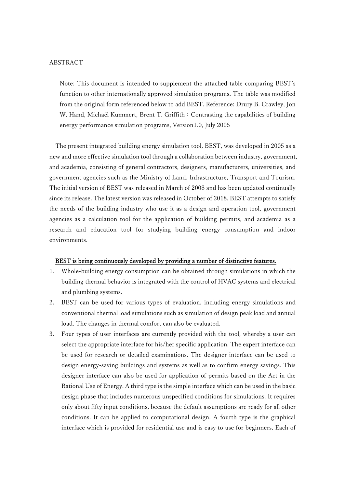#### ABSTRACT

Note: This document is intended to supplement the attached table comparing BEST's function to other internationally approved simulation programs. The table was modified from the original form referenced below to add BEST. Reference: Drury B. Crawley, Jon W. Hand, Michaël Kummert, Brent T. Griffith: Contrasting the capabilities of building energy performance simulation programs, Version1.0, July 2005

 The present integrated building energy simulation tool, BEST, was developed in 2005 as a new and more effective simulation tool through a collaboration between industry, government, and academia, consisting of general contractors, designers, manufacturers, universities, and government agencies such as the Ministry of Land, Infrastructure, Transport and Tourism. The initial version of BEST was released in March of 2008 and has been updated continually since its release. The latest version was released in October of 2018. BEST attempts to satisfy the needs of the building industry who use it as a design and operation tool, government agencies as a calculation tool for the application of building permits, and academia as a research and education tool for studying building energy consumption and indoor environments.

#### BEST is being continuously developed by providing a number of distinctive features.

- 1. Whole-building energy consumption can be obtained through simulations in which the building thermal behavior is integrated with the control of HVAC systems and electrical and plumbing systems.
- 2. BEST can be used for various types of evaluation, including energy simulations and conventional thermal load simulations such as simulation of design peak load and annual load. The changes in thermal comfort can also be evaluated.
- 3. Four types of user interfaces are currently provided with the tool, whereby a user can select the appropriate interface for his/her specific application. The expert interface can be used for research or detailed examinations. The designer interface can be used to design energy-saving buildings and systems as well as to confirm energy savings. This designer interface can also be used for application of permits based on the Act in the Rational Use of Energy. A third type is the simple interface which can be used in the basic design phase that includes numerous unspecified conditions for simulations. It requires only about fifty input conditions, because the default assumptions are ready for all other conditions. It can be applied to computational design. A fourth type is the graphical interface which is provided for residential use and is easy to use for beginners. Each of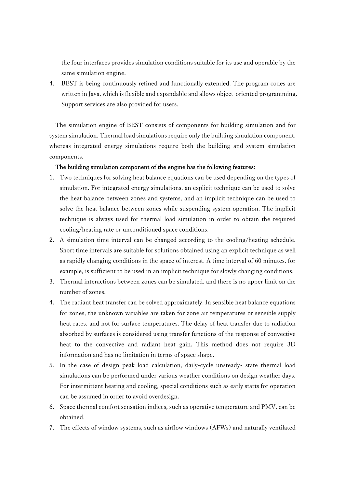the four interfaces provides simulation conditions suitable for its use and operable by the same simulation engine.

4. BEST is being continuously refined and functionally extended. The program codes are written in Java, which is flexible and expandable and allows object-oriented programming. Support services are also provided for users.

The simulation engine of BEST consists of components for building simulation and for system simulation. Thermal load simulations require only the building simulation component, whereas integrated energy simulations require both the building and system simulation components.

## The building simulation component of the engine has the following features:

- 1. Two techniques for solving heat balance equations can be used depending on the types of simulation. For integrated energy simulations, an explicit technique can be used to solve the heat balance between zones and systems, and an implicit technique can be used to solve the heat balance between zones while suspending system operation. The implicit technique is always used for thermal load simulation in order to obtain the required cooling/heating rate or unconditioned space conditions.
- 2. A simulation time interval can be changed according to the cooling/heating schedule. Short time intervals are suitable for solutions obtained using an explicit technique as well as rapidly changing conditions in the space of interest. A time interval of 60 minutes, for example, is sufficient to be used in an implicit technique for slowly changing conditions.
- 3. Thermal interactions between zones can be simulated, and there is no upper limit on the number of zones.
- 4. The radiant heat transfer can be solved approximately. In sensible heat balance equations for zones, the unknown variables are taken for zone air temperatures or sensible supply heat rates, and not for surface temperatures. The delay of heat transfer due to radiation absorbed by surfaces is considered using transfer functions of the response of convective heat to the convective and radiant heat gain. This method does not require 3D information and has no limitation in terms of space shape.
- 5. In the case of design peak load calculation, daily-cycle unsteady- state thermal load simulations can be performed under various weather conditions on design weather days. For intermittent heating and cooling, special conditions such as early starts for operation can be assumed in order to avoid overdesign.
- 6. Space thermal comfort sensation indices, such as operative temperature and PMV, can be obtained.
- 7. The effects of window systems, such as airflow windows (AFWs) and naturally ventilated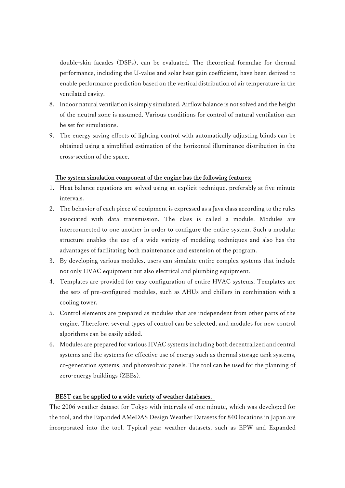double-skin facades (DSFs), can be evaluated. The theoretical formulae for thermal performance, including the U-value and solar heat gain coefficient, have been derived to enable performance prediction based on the vertical distribution of air temperature in the ventilated cavity.

- 8. Indoor natural ventilation is simply simulated. Airflow balance is not solved and the height of the neutral zone is assumed. Various conditions for control of natural ventilation can be set for simulations.
- 9. The energy saving effects of lighting control with automatically adjusting blinds can be obtained using a simplified estimation of the horizontal illuminance distribution in the cross-section of the space.

## The system simulation component of the engine has the following features:

- 1. Heat balance equations are solved using an explicit technique, preferably at five minute intervals.
- 2. The behavior of each piece of equipment is expressed as a Java class according to the rules associated with data transmission. The class is called a module. Modules are interconnected to one another in order to configure the entire system. Such a modular structure enables the use of a wide variety of modeling techniques and also has the advantages of facilitating both maintenance and extension of the program.
- 3. By developing various modules, users can simulate entire complex systems that include not only HVAC equipment but also electrical and plumbing equipment.
- 4. Templates are provided for easy configuration of entire HVAC systems. Templates are the sets of pre-configured modules, such as AHUs and chillers in combination with a cooling tower.
- 5. Control elements are prepared as modules that are independent from other parts of the engine. Therefore, several types of control can be selected, and modules for new control algorithms can be easily added.
- 6. Modules are prepared for various HVAC systems including both decentralized and central systems and the systems for effective use of energy such as thermal storage tank systems, co-generation systems, and photovoltaic panels. The tool can be used for the planning of zero-energy buildings (ZEBs).

#### BEST can be applied to a wide variety of weather databases.

The 2006 weather dataset for Tokyo with intervals of one minute, which was developed for the tool, and the Expanded AMeDAS Design Weather Datasets for 840 locations in Japan are incorporated into the tool. Typical year weather datasets, such as EPW and Expanded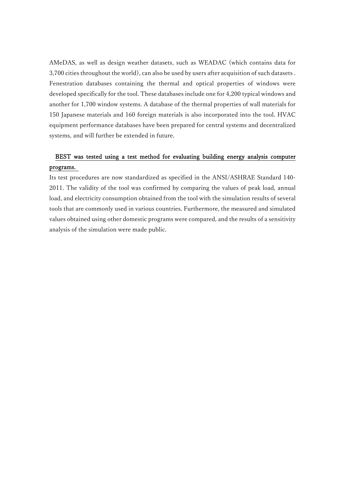AMeDAS, as well as design weather datasets, such as WEADAC (which contains data for 3,700 cities throughout the world), can also be used by users after acquisition of such datasets . Fenestration databases containing the thermal and optical properties of windows were developed specifically for the tool. These databases include one for 4,200 typical windows and another for 1,700 window systems. A database of the thermal properties of wall materials for 150 Japanese materials and 160 foreign materials is also incorporated into the tool. HVAC equipment performance databases have been prepared for central systems and decentralized systems, and will further be extended in future.

# BEST was tested using a test method for evaluating building energy analysis computer programs.

Its test procedures are now standardized as specified in the ANSI/ASHRAE Standard 140- 2011. The validity of the tool was confirmed by comparing the values of peak load, annual load, and electricity consumption obtained from the tool with the simulation results of several tools that are commonly used in various countries. Furthermore, the measured and simulated values obtained using other domestic programs were compared, and the results of a sensitivity analysis of the simulation were made public.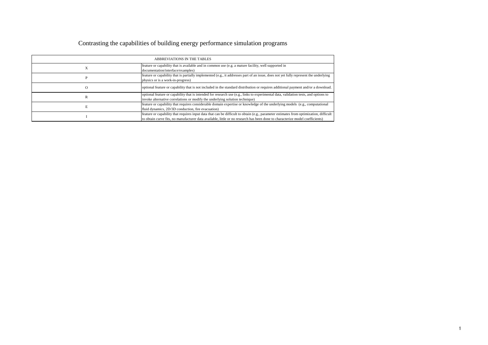# Contrasting the capabilities of building energy performance simulation programs

|    | ABBREVIATIONS IN THE TABLES                                                                                                                                                                                                                                             |
|----|-------------------------------------------------------------------------------------------------------------------------------------------------------------------------------------------------------------------------------------------------------------------------|
|    | feature or capability that is available and in common use (e.g. a mature facility, well supported in<br>documentation/interface/examples)                                                                                                                               |
|    | feature or capability that is partially implemented (e.g., it addresses part of an issue, does not yet fully represent the underlying<br>physics or is a work-in-progress)                                                                                              |
| O) | optional feature or capability that is not included in the standard distribution or requires additional payment and/or a download.                                                                                                                                      |
|    | optional feature or capability that is intended for research use (e.g., links to experimental data, validation tests, and options to<br>invoke alternative correlations or modify the underlying solution technique)                                                    |
|    | feature or capability that requires considerable domain expertise or knowledge of the underlying models (e.g., computational<br>fluid dynamics, 2D/3D conduction, fire evacuation)                                                                                      |
|    | feature or capability that requires input data that can be difficult to obtain (e.g., parameter estimates from optimization, difficult<br>to obtain curve fits, no manufacturer data available, little or no research has been done to characterize model coefficients) |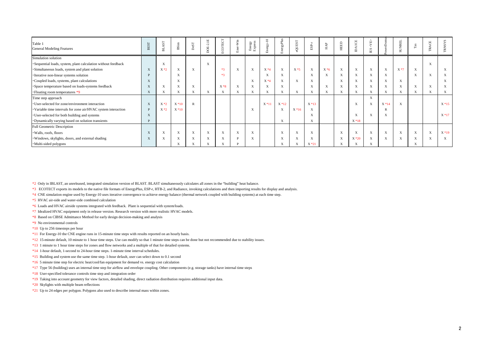| Table 1<br><b>General Modeling Features</b>                    | BEST | $\overline{\text{S}}$<br>声 | BSim        | $_{\rm DeST}$ | 핔<br>$\overline{N}$<br>ģ  | JOTECT      | $\ensuremath{\text{Win}}$<br>ិដ<br>å | Energy<br>Express | $\Xi$<br>nergy- | rgyPlus<br>e. | <b>LSHOO:</b><br>d) | ESP.              | HAP         | <b>HEED</b>               | $\rm ICE$<br>$\tilde{\Xi}$ | Ê<br>IV.<br>$\mathbb{E}\mathbf{S}$ | ě      | <b>JUNREL</b><br>$\omega$ | $_{\rm\,Tas}$ | $\mathbf{H}$<br>Ş<br>$\sim$ |              |
|----------------------------------------------------------------|------|----------------------------|-------------|---------------|---------------------------|-------------|--------------------------------------|-------------------|-----------------|---------------|---------------------|-------------------|-------------|---------------------------|----------------------------|------------------------------------|--------|---------------------------|---------------|-----------------------------|--------------|
| Simulation solution                                            |      |                            |             |               |                           |             |                                      |                   |                 |               |                     |                   |             |                           |                            |                                    |        |                           |               |                             |              |
| · Sequential loads, system, plant calculation without feedback |      | $\mathbf X$                |             |               | X                         |             |                                      |                   |                 |               |                     |                   |             |                           |                            |                                    |        |                           |               | $\mathbf{X}$                |              |
| Simultaneous loads, system and plant solution                  | X    | $X*2$                      | X           | X             |                           | $*3$        | X                                    | X                 | $X*4$           | $\mathbf{X}$  | $X*5$               | X                 | $X*6$       | $\mathbf X$               | X                          | X                                  | X      | $X*7$                     | X             |                             | X            |
| ·Iterative non-linear systems solution                         |      |                            | $\mathbf X$ |               |                           | $*3$        |                                      |                   | X               | $\mathbf{X}$  |                     | X                 | X           | $\mathbf X$               | X                          | X                                  | X      |                           | $\mathbf X$   | X                           | X            |
| •Coupled loads, systems, plant calculations                    | X    |                            | X           |               |                           |             |                                      | X                 | $X*4$           | $\mathbf X$   | $\mathbf X$         | X                 |             | $\mathbf X$               | X                          | X                                  | X      | $\mathbf{X}$              |               |                             | $\mathbf{x}$ |
| · Space temperature based on loads-systems feedback            | X    | X                          | $\mathbf X$ | $\mathbf X$   |                           | $X*8$       | X                                    | X                 | X               | $\mathbf{X}$  |                     | X                 | $\mathbf X$ | $\boldsymbol{\mathrm{X}}$ | X                          | X                                  | X      | $\boldsymbol{\mathrm{X}}$ | $\mathbf X$   | X                           | X            |
| • Floating room temperatures *9                                | X    | X                          | X           | X             | X                         | $\mathbf X$ | X                                    | X                 | X               | X             | $\mathbf X$         | X                 | $\mathbf X$ | $\mathbf X$               | X                          | X                                  | X      | X                         | X             | X                           | X            |
| Time step approach                                             |      |                            |             |               |                           |             |                                      |                   |                 |               |                     |                   |             |                           |                            | X                                  |        |                           |               |                             |              |
| • User-selected for zone/environment interaction               | X    | $X*2$                      | $X * 10$    | $\mathbb{R}$  |                           |             |                                      |                   | $X * 11$        | $X * 12$      |                     | $X * 13$          |             |                           | X                          | $\mathbf X$                        | $X*14$ | $\boldsymbol{\mathrm{X}}$ |               |                             | $X * 15$     |
| · Variable time intervals for zone air/HVAC system interaction | D    | $X*2$                      | $X * 10$    |               |                           |             |                                      | X                 |                 | $\mathbf{X}$  | $X*16$              | X                 |             |                           |                            |                                    |        |                           |               |                             |              |
| · User-selected for both building and systems                  | X    |                            |             |               |                           |             |                                      |                   |                 |               |                     | $\mathbf{v}$<br>A |             |                           | X                          | $\mathbf X$                        | A      |                           |               |                             | $X*17$       |
| • Dynamically varying based on solution transients             |      |                            |             |               |                           |             |                                      |                   |                 | $\mathbf X$   |                     | X                 |             |                           | $X*18$                     |                                    |        |                           |               |                             |              |
| <b>Full Geometric Description</b>                              |      |                            |             |               |                           |             |                                      |                   |                 |               |                     |                   |             |                           |                            |                                    |        |                           |               |                             |              |
| . Walls, roofs, floors                                         |      | $\mathbf X$                | $\mathbf X$ | X             | $\boldsymbol{\mathrm{X}}$ | $\mathbf X$ | X                                    | $\mathbf X$       |                 | $\mathbf{X}$  | $\mathbf X$         | X                 |             | $\boldsymbol{\mathrm{X}}$ | X                          | X                                  | X      | $\mathbf{X}$              | $\mathbf X$   | $\mathbf{X}$                | $X*19$       |
| · Windows, skylights, doors, and external shading              |      | X                          | X           | A             | $\boldsymbol{\mathrm{X}}$ | $\mathbf X$ | $\mathbf{D}$                         | X                 |                 | $\mathbf X$   | X                   | X                 |             | $\boldsymbol{\mathrm{X}}$ | $X*20$                     | X                                  | X      | $\mathbf X$               | $\mathbf X$   | X                           | X            |
| ·Multi-sided polygons                                          |      |                            | X           |               | X                         | X           |                                      |                   |                 | X             | X                   | $X*21$            |             | X                         | X                          | X                                  |        |                           | X             |                             |              |

\*2 Only in IBLAST, an unreleased, integrated simulation version of BLAST. BLAST simultaneously calculates all zones in the "building" heat balance.

- \*3 ECOTECT exports its models to the native file formats of EnergyPlus, ESP-r, HTB-2, and Radiance, invoking calculations and then importing results for display and analysis.
- \*4 CNE simulation engine used by Energy-10 uses iterative convergence to achieve energy balance (thermal network coupled with building systems) at each time step.

\*5 HVAC air-side and water-side combined calculation

- \*6 Loads and HVAC airside systems integrated with feedback. Plant is sequential with system/loads.
- \*7 Idealized HVAC equipment only in release version. Research version with more realistic HVAC models.
- \*8 Based on CIBSE Admittance Method for early design decision-making and analysis
- \*9 No environmental controls
- $*10$  Up to 256 timesteps per hour
- \*11 For Energy-10 the CNE engine runs in 15-minute time steps with results reported on an hourly basis.
- \*12 15-minute default, 10 minute to 1 hour time steps. Use can modify so that 1 minute time steps can be done but not recommended due to stability issues.
- \*13 1 minute to 1 hour time steps for zones and flow networks and a multiple of that for detailed systems.
- \*14 1-hour default, 1-second to 24-hour time steps. 1-minute time interval schedules.
- \*15 Building and system use the same time step. 1-hour default, user can select down to 0.1 second
- \*16 5 minute time step for electric heat/cool/fan equipment for demand vs. energy cost calculation
- \*17 Type 56 (building) uses an internal time step for airflow and envelope coupling. Other components (e.g. storage tanks) have internal time steps
- \*18 User-specified tolerance controls time step and integration order
- \*19 Taking into account geometry for view factors, detailed shading, direct radiation distribution requires additional input data.
- \*20 Skylights with multiple beam reflections
- \*21 Up to 24 edges per polygon. Polygons also used to describe internal mass within zones.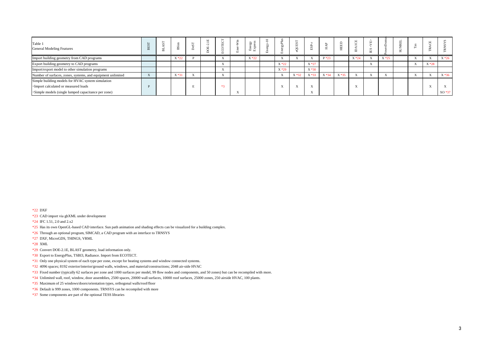| Table 1<br><b>General Modeling Features</b>                                                |  |          |  |                           | ≫ ≈<br><b>Fr1</b> |                          |          |          |          |          |              |                           |          |                            |        |          |
|--------------------------------------------------------------------------------------------|--|----------|--|---------------------------|-------------------|--------------------------|----------|----------|----------|----------|--------------|---------------------------|----------|----------------------------|--------|----------|
| Import building geometry from CAD programs                                                 |  | $X * 22$ |  | $\Delta$                  | $X * 22$          | $\Lambda$                |          |          | $P*23$   |          | $X * 24$     | A                         | $X * 25$ | $\Lambda$                  |        | $X * 26$ |
| Export building geometry to CAD programs                                                   |  |          |  | $\mathbf{v}$<br>$\Lambda$ |                   | $X * 22$                 |          | $X * 27$ |          |          |              | $\mathbf{v}$<br>$\Lambda$ |          | $\sim$ $\sim$<br>$\Lambda$ | $X*28$ |          |
| Import/export model to other simulation programs                                           |  |          |  | $\sim$<br>$\Lambda$       |                   | $X * 29$                 |          | $X * 30$ |          |          |              |                           |          |                            |        |          |
| Number of surfaces, zones, systems, and equipment unlimited                                |  | $X*31$   |  | $\mathbf{v}$<br>$\Lambda$ |                   | $\mathbf{v}$<br>$\Delta$ | $X * 32$ | $X * 33$ | $X * 34$ | $X * 35$ | <b>1979</b>  | $\mathbf{v}$<br>A         |          | <b>1979</b>                |        | $X * 36$ |
| Simple building models for HVAC system simulation<br>• Import calculated or measured loads |  |          |  | $*2$                      |                   | XY.                      | $-$      | <b>x</b> |          |          | $\mathbf{v}$ |                           |          |                            |        |          |
| ·Simple models (single lumped capacitance per zone)                                        |  |          |  |                           |                   |                          |          |          |          |          |              |                           |          |                            |        | XO *37   |

\*22 DXF

\*23 CAD import via gbXML under development

\*24 IFC 1.51, 2.0 and 2.x2

\*25 Has its own OpenGL-based CAD interface. Sun path animation and shading effects can be visualized for a building complex.

\*26 Through an optional program, SIMCAD, a CAD program with an interface to TRNSYS

\*27 DXF, MicroGDS, THINGS, VRML

\*28 XML

\*29 Convert DOE-2.1E, BLAST geometry, load information only.

\*30 Export to EnergyPlus, TSBI3, Radiance. Import from ECOTECT.

\*31 Only one physical system of each type per zone, except for heating systems and window connected systems.

\*32 4096 spaces; 8192 exterior/interior/ground walls, windows, and material/constructions; 2048 air-side HVAC

\*33 Fixed number (typically 62 surfaces per zone and 1000 surfaces per model, 99 flow nodes and components, and 50 zones) but can be recompiled with more.

\*34 Unlimited wall, roof, window, door assemblies, 2500 spaces, 20000 wall surfaces, 10000 roof surfaces, 25000 zones, 250 airside HVAC, 100 plants.

\*35 Maximum of 25 windows/doors/orientation types, orthogonal walls/roof/floor

\*36 Default is 999 zones, 1000 components. TRNSYS can be recompiled with more

\*37 Some components are part of the optional TESS libraries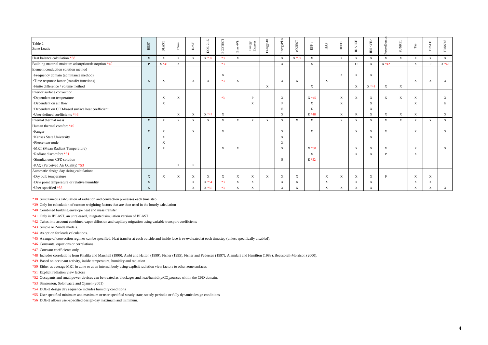| Table 2                                              |              | $\mathbf{A}\mathbf{S}\mathbf{T}$ |              |               |                |              |              |                   |              |                           |                           |                |                           |              |                           | <ab></ab>              | erDom       |               |                           |              |               |
|------------------------------------------------------|--------------|----------------------------------|--------------|---------------|----------------|--------------|--------------|-------------------|--------------|---------------------------|---------------------------|----------------|---------------------------|--------------|---------------------------|------------------------|-------------|---------------|---------------------------|--------------|---------------|
| Zone Loads                                           | BEST         | F.                               | BSim         | $_{\rm DeST}$ | <b>OE-2.1E</b> | ECOTECT      | Ener-Win     | Energy<br>Express | Energy-10    | EnergyPlus                | eQUEST                    | $_{\rm ESP-r}$ | $_{\rm HAP}$              | HEED         | <b>DAICE</b>              | $\mathbb{E}\mathbf{S}$ |             | <b>SUNREL</b> | $_{\rm Tas}$              | TRACE        | <b>TRNSYS</b> |
| Heat balance calculation *38                         | X            | $\mathbf{X}$                     | $\mathbf X$  | X             | $X*39$         | $*3$         | X            |                   |              | $\mathbf{X}$              | $X*39$                    | $\mathbf X$    |                           | $\mathbf{X}$ | $\mathbf X$               | $\mathbf{X}$           | X           | $\mathbf{X}$  | $\mathbf X$               | $\mathbf{X}$ | X             |
| Building material moisture adsorption/desorption *40 | <b>P</b>     | $X*41$                           | X            |               |                | $*3$         |              |                   |              | $\mathbf{X}$              |                           | X              |                           |              | $\Omega$                  | $\mathbf{X}$           | $X * 42$    |               | X                         | <b>P</b>     | $X * 43$      |
| Element conduction solution method                   |              |                                  |              |               |                |              |              |                   |              |                           |                           |                |                           |              |                           |                        |             |               |                           |              |               |
| • Frequency domain (admittance method)               |              |                                  |              |               |                | $\mathbf{X}$ |              |                   |              |                           |                           |                |                           | $\mathbf{X}$ | X                         | $\mathbf{X}$           |             |               |                           |              |               |
| · Time response factor (transfer functions)          | X            | $\mathbf{X}$                     |              | X             | $\mathbf X$    | $*3$         | X            |                   |              | $\mathbf{X}$              | $\mathbf{X}$              |                | $\mathbf X$               |              |                           |                        |             |               | X                         | $\mathbf{X}$ | X             |
| · Finite difference / volume method                  |              |                                  |              |               |                |              |              |                   | $\mathbf X$  |                           |                           | X              |                           |              | X                         | $X * 44$               | X           | $\mathbf{X}$  |                           |              |               |
| Interior surface convection                          |              |                                  |              |               |                |              |              |                   |              |                           |                           |                |                           |              |                           |                        |             |               |                           |              |               |
| · Dependent on temperature                           |              | $\mathbf X$                      | $\mathbf X$  |               |                | $*3$         |              | P                 |              | $\mathbf{X}$              |                           | $X*45$         |                           | $\mathbf X$  | $\boldsymbol{\mathrm{X}}$ | $\mathbf X$            | $\mathbf X$ | $\mathbf X$   | $\mathbf X$               |              | X             |
| Dependent on air flow                                |              | $\mathbf X$                      |              |               |                |              |              | X                 |              | P                         |                           | X              |                           | $\mathbf X$  |                           | X                      |             |               | $\mathbf X$               |              | E             |
| Dependent on CFD-based surface heat coefficient      |              |                                  |              |               |                |              |              |                   |              | E                         |                           | E              |                           |              |                           | X                      |             |               |                           |              |               |
| •User-defined coefficients *46                       |              |                                  | $\mathbf X$  | $\mathbf X$   | $X * 47$       | $\mathbf X$  |              |                   |              | X                         |                           | $E*48$         |                           | $\mathbf X$  | $\mathbb{R}$              | $\mathbf X$            | X           | $\mathbf{X}$  | $\mathbf X$               |              | X             |
| Internal thermal mass                                | X            | $\mathbf{X}$                     | $\mathbf{X}$ | X             | $\mathbf{X}$   | $\mathbf X$  | $\mathbf{X}$ | X                 | X            | $\mathbf{X}$              | $\mathbf{X}$              | X              |                           | $\mathbf{X}$ | $\mathbf X$               | $\mathbf{X}$           | X           | $\mathbf{X}$  | $\mathbf{X}$              | $\mathbf{X}$ | X             |
| Human thermal comfort *49                            |              |                                  |              |               |                |              |              |                   |              |                           |                           |                |                           |              |                           |                        |             |               |                           |              |               |
| <b>·Fanger</b>                                       | X            | $\mathbf X$                      |              | $\mathbf X$   |                | $\mathbf X$  |              |                   |              | $\boldsymbol{\mathrm{X}}$ |                           | $\mathbf X$    |                           |              | X                         | $\mathbf X$            | $\mathbf X$ |               | $\mathbf X$               |              | $\mathbf X$   |
| <b>· Kansas State University</b>                     |              | X                                |              |               |                |              |              |                   |              | $\mathbf X$               |                           |                |                           |              |                           | $\mathbf X$            |             |               |                           |              |               |
| ·Pierce two-node                                     |              | X                                |              |               |                |              |              |                   |              | X                         |                           |                |                           |              |                           |                        |             |               |                           |              |               |
| ·MRT (Mean Radiant Temperature)                      | D            | $\mathbf X$                      |              |               |                | $\mathbf X$  | X            |                   |              | $\mathbf X$               |                           | $X * 50$       |                           |              | X                         | X                      | X           |               | X                         |              | $\mathbf{X}$  |
| ·Radiant discomfort *51                              |              |                                  |              |               |                |              |              |                   |              |                           |                           | X              |                           |              | $\boldsymbol{\mathrm{X}}$ | X                      | D           |               | $\mathbf X$               |              |               |
| ·Simultaneous CFD solution                           |              |                                  |              |               |                |              |              |                   |              | E                         |                           | E *52          |                           |              |                           |                        |             |               |                           |              |               |
| •PAQ (Perceived Air Quality) *53                     |              |                                  | $\mathbf X$  | D             |                |              |              |                   |              |                           |                           |                |                           |              |                           |                        |             |               |                           |              |               |
| Automatic design day sizing calculations             |              |                                  |              |               |                |              |              |                   |              |                           |                           |                |                           |              |                           |                        |             |               |                           |              |               |
| Dry bulb temperature                                 | X            | $\boldsymbol{\mathrm{X}}$        | $\mathbf X$  | X             | $\mathbf X$    | $\mathbf{X}$ | $\mathbf{X}$ | X                 | $\mathbf{X}$ | $\mathbf{X}$              | X                         |                | $\boldsymbol{\mathrm{X}}$ | $\mathbf X$  | X                         | X                      | P           |               | $\boldsymbol{\mathrm{X}}$ | X            |               |
| •Dew point temperature or relative humidity          | X            |                                  |              | X             | $X * 54$       | $*3$         | X            | X                 |              | $\boldsymbol{\mathrm{X}}$ | $\boldsymbol{\mathrm{X}}$ |                | $\mathbf X$               |              | X                         | X                      |             |               | $\boldsymbol{\mathrm{X}}$ | X            |               |
| · User-specified *55                                 | $\mathbf{X}$ |                                  |              |               | $X * 56$       | $*3$         | X            | X                 |              | $\mathbf{X}$              | X                         |                | $\mathbf X$               | X            | X                         | X                      |             |               | $\mathbf X$               | X            | X             |

\*38 Simultaneous calculation of radiation and convection processes each time step

\*39 Only for calculation of custom weighting factors that are then used in the hourly calculation

\*40 Combined building envelope heat and mass transfer

\*41 Only in IBLAST, an unreleased, integrated simulation version of BLAST.

\*42 Takes into account combined vapor diffusion and capillary migration using variable transport coefficients

\*43 Simple or 2-node models.

\*44 As option for loads calculations.

\*45 A range of convection regimes can be specified. Heat transfer at each outside and inside face is re-evaluated at each timestep (unless specifically disabled).

\*46 Constants, equations or correlations

\*47 Constant coefficients only

\*48 Includes correlations from Khalifa and Marshall (1990), Awbi and Hatton (1999), Fisher (1995), Fisher and Pedersen (1997), Alamdari and Hamilton (1983), Beausoleil-Morrison (2000).

\*49 Based on occupant activity, inside temperature, humidity and radiation

\*50 Either as average MRT in zone or at an internal body using explicit radiation view factors to other zone surfaces

\*51 Explicit radiation view factors

\*52 Occupants and small power devices can be treated as blockages and heat/humidity/CO<sub>2</sub>sources within the CFD domain.

\*53 Simsonson, Solonvaara and Ojanen (2001)

\*54 DOE-2 design day sequence includes humidity conditions

\*55 User specified minimum and maximum or user-specified steady-state, steady-periodic or fully dynamic design conditions

\*56 DOE-2 allows user-specified design-day maximum and minimum.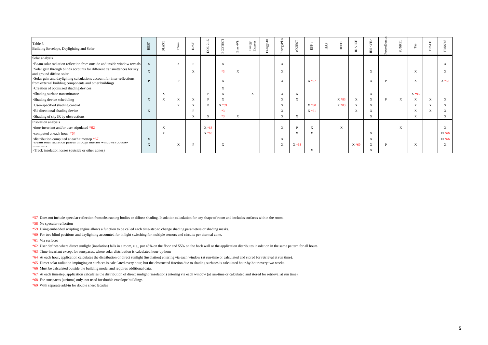| Table 3<br>Building Envelope, Daylighting and Solar                                                                             | <b>BEST</b> | AST<br>革          | <b>BSim</b>  | DesT | $\Xi$<br>$\overline{N}$<br>Ġ | ECOTECT                   | Win<br>å | Energy<br>Express | $\Xi$<br>Energy- | EnergyPlus                | eQUEST       | $_{\rm ESP-r}$ | $_{\rm HAP}$ | <b>HEED</b> | $\overline{\text{ICE}}$<br>₿ | <ab><br/><math display="inline">\mathbb{E}\mathbf{S}</math></ab> |   | <b>SUNREL</b>             | ⊢                         | ACE<br>$\sim$ | ≍         |
|---------------------------------------------------------------------------------------------------------------------------------|-------------|-------------------|--------------|------|------------------------------|---------------------------|----------|-------------------|------------------|---------------------------|--------------|----------------|--------------|-------------|------------------------------|------------------------------------------------------------------|---|---------------------------|---------------------------|---------------|-----------|
| Solar analysis                                                                                                                  |             |                   |              |      |                              |                           |          |                   |                  |                           |              |                |              |             |                              |                                                                  |   |                           |                           |               |           |
| · Beam solar radiation reflection from outside and inside window reveals                                                        | X           |                   | X            |      |                              | $\boldsymbol{\mathrm{X}}$ |          |                   |                  | $\mathbf X$               |              |                |              |             |                              |                                                                  |   |                           |                           |               | X         |
| ·Solar gain through blinds accounts for different transmittances for sky<br>and ground diffuse solar                            | $\mathbf X$ |                   |              | X    |                              | $*3$                      | X        |                   |                  | $\mathbf X$               |              |                |              |             |                              | $\mathbf X$                                                      |   |                           | $\boldsymbol{\mathrm{X}}$ |               | X         |
| ·Solar gain and daylighting calculations account for inter-reflections<br>from external building components and other buildings | P           |                   | $\mathbf{D}$ |      |                              | $\mathbf X$               |          |                   |                  | X                         |              | $X * 57$       |              |             |                              | $\mathbf X$                                                      | D |                           | X                         |               | $X * 58$  |
| ·Creation of optimized shading devices                                                                                          |             |                   |              |      |                              | $\mathbf X$               |          |                   |                  |                           |              |                |              |             |                              |                                                                  |   |                           |                           |               |           |
| ·Shading surface transmittance                                                                                                  |             | X                 |              |      |                              | $\mathbf X$               |          | X                 |                  | $\mathbf X$               | $\mathbf{X}$ |                |              |             |                              | $\mathbf X$                                                      |   |                           | $X*95$                    |               |           |
| • Shading device scheduling                                                                                                     | X           | $\mathbf{v}$<br>A | X            | X    |                              | $\mathbf X$               |          |                   |                  | $\mathbf{v}$<br>$\Lambda$ | $\mathbf X$  |                |              | $X * 83$    | X                            | $\mathbf X$                                                      | D | $\boldsymbol{\mathrm{X}}$ | $\boldsymbol{\mathrm{X}}$ | X             | X         |
| · User-specified shading control                                                                                                |             |                   | X            | A    |                              | $X * 59$                  |          |                   |                  | X                         |              | $X * 60$       |              | $X * 83$    | X                            | X                                                                |   |                           | X                         | X             | X         |
| ·Bi-directional shading device                                                                                                  | X           |                   |              |      |                              | $*3$                      |          |                   |                  | $\mathbf X$               |              | $X * 61$       |              |             | $\boldsymbol{\mathrm{X}}$    | $\mathbf X$                                                      |   |                           | $\mathbf X$               | A             | X         |
| ·Shading of sky IR by obstructions                                                                                              |             |                   |              | X    | X                            | $*3$                      | X        |                   |                  | $\mathbf X$               | $\mathbf{X}$ |                |              |             |                              | X                                                                |   |                           | X                         |               | X         |
| Insolation analysis                                                                                                             |             |                   |              |      |                              |                           |          |                   |                  |                           |              |                |              |             |                              |                                                                  |   |                           |                           |               |           |
| $\cdot$ time-invariant and/or user stipulated *62                                                                               |             | $\mathbf{v}$<br>A |              |      | $X * 63$                     |                           |          |                   |                  | X                         |              | X              |              | $\mathbf X$ |                              |                                                                  |   | X                         |                           |               | X         |
| *computed at each hour *64                                                                                                      |             | X                 |              |      | $X * 65$                     |                           |          |                   |                  |                           | X            | X              |              |             |                              | $\mathbf X$                                                      |   |                           |                           |               | $EI * 66$ |
| distribution computed at each timestep *67                                                                                      | X           |                   |              |      |                              |                           |          |                   |                  | $\mathbf X$               |              |                |              |             |                              | X                                                                |   |                           |                           |               | $EI * 66$ |
| beam solar radiation passes through interior windows (double-<br>anyalona)<br>Track insolation losses (outside or other zones)  | X           |                   | X            |      |                              | $\mathbf{X}$              |          |                   |                  | X                         | $X*68$       | X              |              |             | $X * 69$                     | $\mathbf X$<br>X                                                 |   |                           | $\boldsymbol{\mathrm{X}}$ |               | X         |

\*57 Does not include specular reflection from obstructing bodies or diffuse shading. Insolation calculation for any shape of room and includes surfaces within the room.

\*58 No specular reflection

\*59 Using embedded scripting engine allows a function to be called each time-step to change shading parameters or shading masks.

\*60 For two blind positions and daylighting accounted for in light switching for multiple sensors and circuits per thermal zone.

\*61 Via surfaces

\*62 User defines where direct sunlight (insolation) falls in a room, e.g., put 45% on the floor and 55% on the back wall or the application distributes insolation in the same pattern for all hours.

\*63 Time-invariant except for sunspaces, where solar distribution is calculated hour-by-hour

\*64 At each hour, application calculates the distribution of direct sunlight (insolation) entering via each window (at run-time or calculated and stored for retrieval at run time).

\*65 Direct solar radiation impinging on surfaces is calculated every hour, but the obstructed fraction due to shading surfaces is calculated hour-by-hour every two weeks.

\*66 Must be calculated outside the building model and requires additional data.

\*67 At each timestep, application calculates the distribution of direct sunlight (insolation) entering via each window (at run-time or calculated and stored for retrieval at run time).

\*68 For sunspaces (atriums) only, not used for double envelope buildings

\*69 With separate add-in for double sheet facades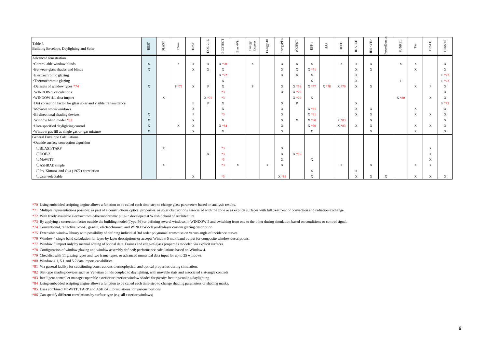| Table 3<br>Building Envelope, Daylighting and Solar                | <b>BEST</b>  | $\mathbf{A}\mathbf{S}\mathbf{T}$<br>出 | $B\sin$     | $_{\rm DeST}$ | $DOE-2.1E$  | ECOTECT     | Ener-Win | Energy<br>Express | Energy-10 | EnergyPlus                | <b>eQUEST</b> | $_{\rm{ESP-}r}$           | ${\rm HAP}$ | HEED         | <b>DAICE</b> | <ab><br/><math display="inline">\Xi\Xi</math></ab> | erDo | <b>SUNREL</b> | $_{\rm Tas}$              | TRACE        | <b>TRNSYS</b> |
|--------------------------------------------------------------------|--------------|---------------------------------------|-------------|---------------|-------------|-------------|----------|-------------------|-----------|---------------------------|---------------|---------------------------|-------------|--------------|--------------|----------------------------------------------------|------|---------------|---------------------------|--------------|---------------|
| Advanced fenestration                                              |              |                                       |             |               |             |             |          |                   |           |                           |               |                           |             |              |              |                                                    |      |               |                           |              |               |
| •Controllable window blinds                                        | X            |                                       | $\mathbf X$ | $\mathbf X$   | $\mathbf X$ | $X*70$      |          | $\mathbf{X}$      |           | $\mathbf{X}$              | $\mathbf X$   | $\boldsymbol{\mathrm{X}}$ |             | $\mathbf{X}$ | $\mathbf X$  | $\mathbf X$                                        |      | X             | $\mathbf X$               |              | X             |
| ·Between-glass shades and blinds                                   | X            |                                       |             | X             | X           | X           |          |                   |           | X                         | X             | $X*71$                    |             |              | X            | X                                                  |      |               | $\mathbf X$               |              | X             |
| ·Electrochromic glazing                                            |              |                                       |             |               |             | $X * 72$    |          |                   |           | X                         | $\mathbf X$   | X                         |             |              | X            |                                                    |      |               |                           |              | E *73         |
| · Thermochromic glazing                                            |              |                                       |             |               |             | X           |          |                   |           |                           |               | X                         |             |              | $\mathbf X$  |                                                    |      |               |                           |              | $E*73$        |
| •Datasets of window types *74                                      | X            |                                       | $P*75$      | $\mathbf X$   | P           | X           |          | P                 |           | $\mathbf{X}$              | $X*76$        | $X * 77$                  | X *78       | $X * 79$     | $\mathbf X$  | $\mathbf X$                                        |      |               | $\boldsymbol{\mathrm{X}}$ | D            | X             |
| WINDOW 5 calculations                                              |              |                                       |             |               |             | $*3$        |          |                   |           | $\mathbf{X}$              | $X*76$        |                           |             |              |              |                                                    |      |               |                           |              | X             |
| · WINDOW 4.1 data import                                           |              | $\mathbf{X}$                          |             |               | $X*76$      | $*3$        |          |                   |           |                           | $X * 76$      | $\mathbf{X}$              |             |              |              |                                                    |      | $X * 80$      |                           | $\mathbf{X}$ | X             |
| · Dirt correction factor for glass solar and visible transmittance |              |                                       |             | E             | P           | X           |          |                   |           | $\mathbf{X}$              | P             |                           |             |              | X            |                                                    |      |               |                           |              | E *73         |
| ·Movable storm windows                                             |              |                                       |             | $\mathbf X$   |             | $\mathbf X$ |          |                   |           | $\mathbf{X}$              |               | $X*81$                    |             |              | X            | $\mathbf X$                                        |      |               | $\mathbf X$               |              | X             |
| ·Bi-directional shading devices                                    | X            |                                       |             |               |             | $*3$        |          |                   |           | $\mathbf{X}$              |               | $X * 61$                  |             |              | X            | $\mathbf X$                                        |      |               | $\mathbf X$               | $\mathbf{X}$ | X             |
| . Window blind model *82                                           | X            |                                       |             | X             |             | X           |          |                   |           | X                         | $\mathbf X$   | $X * 60$                  |             | $X * 83$     |              | X                                                  |      |               |                           |              | X             |
| · User-specified daylighting control                               | X            |                                       | X           | $\mathbf X$   |             | X * 84      |          |                   |           | $\mathbf{X}$              |               | $X * 60$                  |             | $X * 83$     | X            | X                                                  |      |               | $\mathbf X$               | $\mathbf X$  | X             |
| · Window gas fill as single gas or gas mixture                     | $\mathbf{X}$ |                                       |             | X             |             | X           |          |                   |           | $\mathbf{X}$              |               | X                         |             |              |              | X                                                  |      |               | $\boldsymbol{\mathrm{X}}$ |              | X             |
| <b>General Envelope Calculations</b>                               |              |                                       |             |               |             |             |          |                   |           |                           |               |                           |             |              |              |                                                    |      |               |                           |              |               |
| ·Outside surface convection algorithm                              |              |                                       |             |               |             |             |          |                   |           |                           |               |                           |             |              |              |                                                    |      |               |                           |              |               |
| OBLAST/TARP                                                        |              | $\mathbf{X}$                          |             |               |             | $*3$        |          |                   |           | $\mathbf{X}$              |               |                           |             |              |              |                                                    |      |               |                           | $\mathbf{X}$ |               |
| $ODOE-2$                                                           |              |                                       |             |               | X           | $*3$        |          |                   |           | $\boldsymbol{\mathrm{X}}$ | $X*85$        |                           |             |              |              |                                                    |      |               |                           | X            |               |
| <b>OMoWiTT</b>                                                     |              |                                       |             |               |             | $*3$        |          |                   |           | $\mathbf{X}$              |               | $\mathbf{X}$              |             |              |              |                                                    |      |               |                           | X            |               |
| ○ASHRAE simple                                                     |              | X                                     |             |               |             | $*3$        | X        |                   | X         | X                         |               |                           |             | $\mathbf{X}$ |              | X                                                  |      |               | X                         | X            |               |
| OIto, Kimura, and Oka (1972) correlation                           |              |                                       |             |               |             |             |          |                   |           |                           |               | X                         |             |              | X            |                                                    |      |               |                           |              |               |
| $\bigcirc$ User-selectable                                         |              |                                       |             | X             |             | $*3$        |          |                   |           | $X*86$                    |               | X                         |             |              | X            | X                                                  | X    |               | $\mathbf{X}$              | X            | X             |

\*70 Using embedded scripting engine allows a function to be called each time-step to change glass parameters based on analysis results.

\*71 Multiple representations possible: as part of a constructions optical properties, as solar obstructions associated with the zone or as explicit surfaces with full treatment of convection and radiation exchange.

\*72 With freely available electrochromic/thermochromic plug-in developed at Welsh School of Architecture.

\*73 By applying a correction factor outside the building model (Type-56) or defining several windows in WINDOW 5 and switching from one to the other during simulation based on conditions or control signal.

\*74 Conventional, reflective, low-E, gas-fill, electrochromic, and WINDOW-5 layer-by-layer custom glazing description

\*75 Extensible window library with possibility of defining individual 3rd order polynomial transmission versus angle of incidence curves.

\*76 Window 4 single band calculation for layer-by-layer descriptions or accepts Window 5 multiband output for composite window descriptions.

\*77 Window 5 import only by manual editing of optical data. Frames and edge-of-glass properties modeled via explicit surfaces.

\*78 Configuration of window glazing and window assembly defined; performance calculations based on Window 4.

\*79 Checklist with 11 glazing types and two frame types, or advanced numerical data input for up to 25 windows.

\*80 Window 4.1, 5.1 and 5.2 data import capabilities

\*81 Via general facility for substituting constructions thermophysical and optical properties during simulation.

\*82 Slat-type shading devices such as Venetian blinds coupled to daylighting, with movable slats and associated slat-angle controls

\*83 Intelligent controller manages operable exterior or interior window shades for passive heating/cooling/daylighting

\*84 Using embedded scripting engine allows a function to be called each time-step to change shading parameters or shading masks.

\*85 Uses combined MoWiTT, TARP and ASHRAE formulations for various portions

\*86 Can specify different correlations by surface type (e.g. all exterior windows)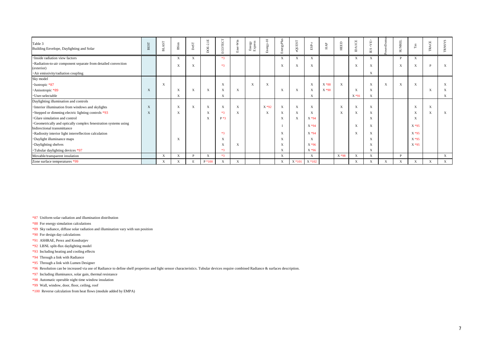| Table 3<br>Building Envelope, Daylighting and Solar             | <b>BEST</b> | AST<br>뇌                  | $B\mathrm{Sim}$           | $_{\rm DeST}$ | $DOE-2.1E$                | ECOTECT     | $-Win$<br>Ener            | Energy<br>Express | Energy-10                 | EnergyPlus                | eQUEST                    | $_{\rm ESP-r}$ | ${\rm HAP}$ | HEED        | ICE<br>∢<br>₿             | <ab><br/><math display="inline">\mathbb{E}\mathbf{S}</math></ab> | erDomu       | <b>SUNREL</b> | $\rm{Ts}$                 | ACE<br>Ê | <b>RNSYS</b> |
|-----------------------------------------------------------------|-------------|---------------------------|---------------------------|---------------|---------------------------|-------------|---------------------------|-------------------|---------------------------|---------------------------|---------------------------|----------------|-------------|-------------|---------------------------|------------------------------------------------------------------|--------------|---------------|---------------------------|----------|--------------|
| · Inside radiation view factors                                 |             |                           | $\mathbf{X}$              | X             |                           | $*3$        |                           |                   |                           | $\mathbf{X}$              | X                         | X              |             |             | X                         | X                                                                |              | P             | $\mathbf{X}$              |          |              |
| ·Radiation-to-air component separate from detailed convection   |             |                           | X                         | X             |                           | $*3$        |                           |                   |                           | X                         | $\boldsymbol{\mathrm{X}}$ | X              |             |             | $\boldsymbol{\mathrm{X}}$ | $\mathbf X$                                                      |              | X             | $\mathbf X$               | D        | X            |
| (exterior)                                                      |             |                           |                           |               |                           |             |                           |                   |                           |                           |                           |                |             |             |                           |                                                                  |              |               |                           |          |              |
| · Air emissivity/radiation coupling<br>Sky model                |             |                           |                           |               |                           |             |                           |                   |                           |                           |                           |                |             |             |                           | $\mathbf X$                                                      |              |               |                           |          |              |
| ·Isotropic *87                                                  |             | $\boldsymbol{\mathrm{X}}$ |                           |               |                           | $\mathbf X$ |                           | X                 | $\boldsymbol{\mathrm{X}}$ |                           |                           | X              | X * 88      | $\mathbf X$ |                           | $\mathbf X$                                                      | X            | $\mathbf X$   | $\mathbf X$               |          | X            |
| · Anisotropic *89                                               | X           |                           | X                         | X             | $\boldsymbol{\mathrm{X}}$ | $\mathbf X$ | $\mathbf{X}$              |                   |                           | X                         | X                         | X              | $X*90$      |             | $\boldsymbol{\mathrm{X}}$ | $\mathbf X$                                                      |              |               |                           | X        | X            |
| · User-selectable                                               |             |                           | $\mathbf X$               |               |                           | $\mathbf X$ |                           |                   |                           |                           |                           | X              |             |             | $X*91$                    | $\mathbf X$                                                      |              |               |                           |          | X            |
| Daylighting illumination and controls                           |             |                           |                           |               |                           |             |                           |                   |                           |                           |                           |                |             |             |                           |                                                                  |              |               |                           |          |              |
| · Interior illumination from windows and skylights              | X           |                           | $\boldsymbol{\mathrm{X}}$ | $\mathbf X$   | $\boldsymbol{\mathrm{X}}$ | $\mathbf X$ | $\mathbf{X}$              |                   | $X * 92$                  | $\mathbf X$               | $\boldsymbol{\mathrm{X}}$ | X              |             | $\mathbf X$ | $\boldsymbol{\mathrm{X}}$ | $\mathbf X$                                                      |              |               | X                         | X        |              |
| Stepped or dimming electric lighting controls *93               | X           |                           | X                         |               | $\boldsymbol{\mathrm{X}}$ | $*3$        | X                         |                   | X                         | X                         | X                         | X              |             | X           |                           | X                                                                |              |               | $\mathbf X$               | X        | X            |
| ·Glare simulation and control                                   |             |                           |                           |               | X                         | $P * 3$     |                           |                   |                           | X                         | $\boldsymbol{\mathrm{X}}$ | X * 94         |             |             |                           | X                                                                |              |               | $\boldsymbol{\mathrm{X}}$ |          |              |
| ·Geometrically and optically complex fenestration systems using |             |                           |                           |               |                           |             |                           |                   |                           |                           |                           | $X * 94$       |             |             | $\boldsymbol{\mathrm{X}}$ | $\mathbf X$                                                      |              |               | $X*95$                    |          |              |
| bidirectional transmittance                                     |             |                           |                           |               |                           |             |                           |                   |                           |                           |                           |                |             |             |                           |                                                                  |              |               |                           |          |              |
| ·Radiosity interior light interreflection calculation           |             |                           |                           |               |                           | $*3$        |                           |                   |                           | X                         |                           | $X * 94$       |             |             |                           | X                                                                |              |               | $X*95$                    |          |              |
| ·Daylight illuminance maps                                      |             |                           | X                         |               |                           | $\mathbf X$ |                           |                   |                           | X                         |                           | $\mathbf X$    |             |             |                           | X                                                                |              |               | $X*95$                    |          |              |
| ·Daylighting shelves                                            |             |                           |                           |               |                           | $\mathbf X$ | $\mathbf{x}$              |                   |                           | $\boldsymbol{\mathrm{X}}$ |                           | $X * 96$       |             |             |                           | X                                                                |              |               | $X*95$                    |          |              |
| *Tubular daylighting devices *97                                |             |                           |                           |               |                           | $*3$        |                           |                   |                           | X                         |                           | X * 96         |             |             |                           | $\mathbf X$                                                      |              |               |                           |          |              |
| Movable/transparent insulation                                  |             | $\mathbf X$               | X                         | D             | $\boldsymbol{\mathrm{X}}$ | $*3$        |                           |                   |                           | X                         |                           | X              |             | X * 98      | X                         | $\mathbf X$                                                      |              | <b>P</b>      |                           |          | X            |
| Zone surface temperatures *99                                   |             |                           | X                         |               | $P*100$                   | $\mathbf X$ | $\boldsymbol{\mathrm{X}}$ |                   |                           | $\boldsymbol{\mathrm{X}}$ | $X * 101$                 | X *102         |             |             | $\mathbf X$               | X                                                                | $\mathbf{X}$ | $\mathbf X$   | X                         | X        | $\mathbf X$  |

\*87 Uniform solar radiation and illumination distribution

\*88 For energy simulation calculations

- \*89 Sky radiance, diffuse solar radiation and illumination vary with sun position
- \*90 For design day calculations
- \*91 ASHRAE, Perez and Kondratjev
- \*92 LBNL split-flux daylighting model
- \*93 Including heating and cooling effects
- \*94 Through a link with Radiance
- \*95 Through a link with Lumen Designer
- \*96 Resolution can be increased via use of Radiance to define shelf properties and light sensor characteristics. Tubular devices require combined Radiance & surfaces description.
- \*97 Including illuminance, solar gain, thermal resistance
- \*98 Automatic operable night time window insulation
- \*99 Wall, window, door, floor, ceiling, roof
- \*100 Reverse calculation from heat flows (module added by EMPA)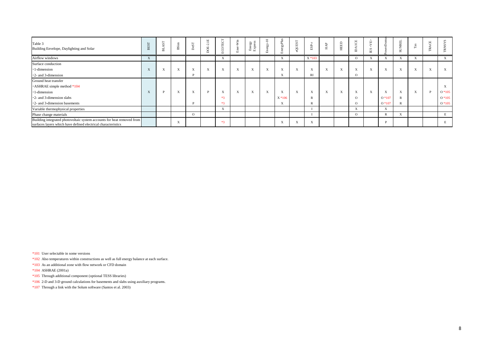| Table 3<br>Building Envelope, Daylighting and Solar                                                                                     | <b>BES</b> | $S_{\rm I}$<br>革 | <b>B</b> Sim | S <sub>c</sub> | 핔<br>$\sim$<br>F<br>$\supset$ | ΙEC<br><u>្ណ</u>          | Win<br>亩                     | Energy<br>Express | $\overline{10}$<br>$\Omega$<br>$\Box$ | gyPlu<br><b>FTT</b>       | QUEST                     | ESP.      | HAP                          | HEED                      | ICE<br>$\Theta$           | <∧E><br>S<br>Е | $\bigcap$                 | UNREL<br>$\sigma$         | $\Gamma$ as | $\mathbf \mu$<br>Ö | ΣX<br>RNS <sup>-</sup> |
|-----------------------------------------------------------------------------------------------------------------------------------------|------------|------------------|--------------|----------------|-------------------------------|---------------------------|------------------------------|-------------------|---------------------------------------|---------------------------|---------------------------|-----------|------------------------------|---------------------------|---------------------------|----------------|---------------------------|---------------------------|-------------|--------------------|------------------------|
| Airflow windows                                                                                                                         | $\Lambda$  |                  |              |                |                               | A                         |                              |                   |                                       | $\lambda$                 |                           | $X * 103$ |                              |                           | $\Omega$                  | A              |                           |                           | X           |                    | X                      |
| Surface conduction                                                                                                                      |            |                  |              |                |                               |                           |                              |                   |                                       |                           |                           |           |                              |                           |                           |                |                           |                           |             |                    |                        |
| 1-dimension                                                                                                                             | $\Lambda$  | $\Lambda$        | X            | X              | $\mathbf{v}$<br>$\Lambda$     | $\mathbf{v}$<br>$\Lambda$ | X                            | X                 | $\mathbf{v}$<br>$\Lambda$             | $\mathbf{v}$<br>$\Lambda$ | $\boldsymbol{\mathrm{X}}$ | A         | $\boldsymbol{\mathrm{X}}$    | $\mathbf{x}$<br>$\Lambda$ | $\mathbf{v}$<br>$\Lambda$ | X              | $\boldsymbol{\mathrm{X}}$ | $\Lambda$                 | X           | $\mathbf{v}$<br>A  | $\mathbf{X}$           |
| $\cdot$ 2- and 3-dimension                                                                                                              |            |                  |              |                |                               |                           |                              |                   |                                       | $\Lambda$                 |                           | RI        |                              |                           | $\Omega$                  |                |                           |                           |             |                    |                        |
| Ground heat transfer                                                                                                                    |            |                  |              |                |                               |                           |                              |                   |                                       |                           |                           |           |                              |                           |                           |                |                           |                           |             |                    |                        |
| $\cdot$ ASHRAE simple method $*104$                                                                                                     |            |                  |              |                |                               |                           |                              |                   |                                       |                           |                           |           |                              |                           |                           |                |                           |                           |             |                    | $\mathbf{X}$           |
| 1-dimension                                                                                                                             | A          | $\mathbf{D}$     | X            | X              | D                             | $\mathbf{v}$<br>$\Lambda$ | $\mathbf{v}$<br>$\mathbf{A}$ | X                 | $\mathbf{v}$<br>$\mathbf{A}$          | $\Lambda$                 | X                         | A         | $\mathbf{v}$<br>$\mathbf{A}$ | $\mathbf{x}$<br>$\Lambda$ | $\mathbf{x}$<br>$\Lambda$ | X              | $\mathbf{x}$<br>A         | $\mathbf{x}$<br>$\Lambda$ | X           |                    | $O*105$                |
| $\cdot$ 2- and 3-dimension slabs                                                                                                        |            |                  |              |                |                               | $*3$                      |                              |                   |                                       | $X * 106$                 |                           |           |                              |                           | $\Omega$                  |                | $O*107$                   |                           |             |                    | $O*105$                |
| $\cdot$ 2- and 3-dimension basements                                                                                                    |            |                  |              |                |                               | $*3$                      |                              |                   |                                       | $\Lambda$                 |                           | R         |                              |                           | $\Omega$                  |                | $O*107$                   |                           |             |                    | $O*105$                |
| Variable thermophysical properties                                                                                                      |            |                  |              |                |                               | $\mathbf{v}$<br>$\Lambda$ |                              |                   |                                       |                           |                           |           |                              |                           | X                         |                | X                         |                           |             |                    |                        |
| Phase change materials                                                                                                                  |            |                  |              | $\Omega$       |                               |                           |                              |                   |                                       |                           |                           |           |                              |                           | $\Omega$                  |                | R                         |                           |             |                    | E                      |
| Building integrated photovoltaic system accounts for heat removed from<br>surfaces layers which have defined electrical characteristics |            |                  | X            |                |                               | $*3$                      |                              |                   |                                       | $\Lambda$                 | $\mathbf{X}$              | A         |                              |                           |                           |                | D                         |                           |             |                    | E                      |

\*101 User selectable in some versions

\*102 Also temperatures within constructions as well as full energy balance at each surface.

\*103 As an additional zone with flow network or CFD domain

\*104 ASHRAE (2001a)

\*105 Through additional component (optional TESS libraries)

\*106 2-D and 3-D ground calculations for basements and slabs using auxiliary programs.

\*107 Through a link with the Solum software (Santos et al. 2003)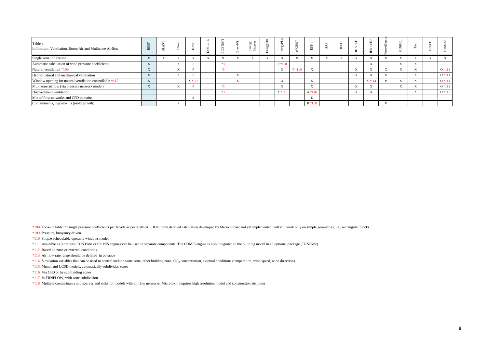| Table 4<br>Infiltration, Ventilation, Room Air and Multizone Airflow |           | $\overline{m}$ | 运<br>m    |           |      | $\geq$<br>$\omega$ | - |           | $\overline{}$ | ಜ            | ப<br>н |               | Е                         |           |                           |         |
|----------------------------------------------------------------------|-----------|----------------|-----------|-----------|------|--------------------|---|-----------|---------------|--------------|--------|---------------|---------------------------|-----------|---------------------------|---------|
| Single zone infiltration                                             |           |                |           |           |      |                    |   |           |               |              |        |               | $\Lambda$                 | $\Lambda$ |                           |         |
| Automatic calculation of wind pressure coefficients                  |           |                | $\Lambda$ |           | $*2$ |                    |   | $P*108$   |               |              |        |               | $x \times$<br>A           | $\Lambda$ | $\mathbf{v}$<br>$\Lambda$ |         |
| Natural ventilation *109                                             |           |                | $\Lambda$ |           | $*2$ |                    |   | $\Lambda$ | $P*110$       | $\mathbf{v}$ |        |               | XX<br>A                   | $\Lambda$ |                           | $O*111$ |
| Hybrid natural and mechanical ventilation                            | $\Lambda$ |                | $\Lambda$ |           |      |                    |   |           |               |              |        |               | $\mathbf{v}$<br>$\Lambda$ |           | $\mathbf{v}$<br>$\Lambda$ | $O*111$ |
| Window opening for natural ventilation controllable *112             |           |                |           | $X * 113$ |      |                    |   | $\Delta$  |               |              |        |               | $X * 114$                 | $\Lambda$ | $\mathbf{v}$<br>$\lambda$ | $0*111$ |
| Multizone airflow (via pressure network model)                       | $\Lambda$ |                | $\Lambda$ |           | $*2$ |                    |   | $\Lambda$ |               |              |        |               | $\mathbf{v}$<br>$\Lambda$ | $\Lambda$ | $\Lambda$                 | $O*111$ |
| Displacement ventilation                                             |           |                |           |           | $*2$ |                    |   | $X * 115$ |               | $X * 116$    |        | $\rightarrow$ | $\mathbf{v}$<br>A         |           | $\mathbf{v}$<br>$\Lambda$ | $O*117$ |
| Mix of flow networks and CFD domains                                 |           |                |           |           |      |                    |   |           |               |              |        |               |                           |           |                           |         |
| Contaminants, mycotoxins (mold growth)                               |           |                |           |           |      |                    |   |           |               | $R*118$      |        |               |                           |           |                           |         |

\*108 Look-up table for single pressure coefficients per facade as per ASHRAE HOF; more detailed calculation developed by Mario Grosso not yet implemented, will still work only on simple geometries, i.e., rectangular blocks

\*109 Pressure, buoyancy driven

\*110 Simple schedulable operable windows model

\*111 Available as 3 options: CONTAM or COMIS engines can be used in separate components. The COMIS engine is also integrated to the building model in an optional package (TRNFlow)

\*112 Based on zone or external conditions

\*113 Air flow rate range should be defined in advance

\*114 Simulation variables that can be used to control include same zone, other building zone, CO<sub>2</sub> concentration, external conditions (temperature, wind speed, wind direction)

\*115 Mundt and UCSD models, automatically subdivides zones

\*116 Via CFD or by subdividing zones

\*117 In TRNFLOW, with zone subdivision

\*118 Multiple contaminants and sources and sinks for models with air flow networks. Microtoxin requires high resolution model and construction attributes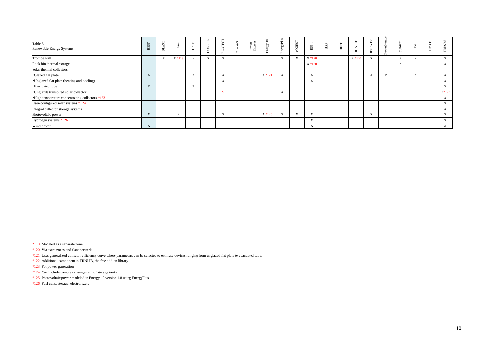| Table 5<br>Renewable Energy Systems              | <b>BES</b> | ò<br>声                    | <b>B</b> Sim | Des       | $\Xi$<br>$\sim$<br>Ë | $_{\rm EC}$<br>요          | Win<br>Œ | Energy<br>Express | $\overline{10}$<br>⋋<br>άÓ<br>$\boxed{\mathbf{L}}$ | $\operatorname{gyPu}$<br>ப | QUEST | ESP.                     | HAP | HEED | EDI<br>$\mathsf{D}$ | <ve><br/><math display="inline">\mathop{\hbox{\rm E}}\nolimits</math></ve> | <b>SUNREL</b>             | Fa                        | $\mathbf{H}$<br>َت<br>$\sim$ |                           |
|--------------------------------------------------|------------|---------------------------|--------------|-----------|----------------------|---------------------------|----------|-------------------|----------------------------------------------------|----------------------------|-------|--------------------------|-----|------|---------------------|----------------------------------------------------------------------------|---------------------------|---------------------------|------------------------------|---------------------------|
| Trombe wall                                      |            | $\mathbf{v}$<br>$\Lambda$ | $X * 119$    |           | $\Lambda$            | $\mathbf{v}$<br>$\Lambda$ |          |                   |                                                    | $\mathbf{v}$<br>$\Lambda$  | X     | X *120                   |     |      | $X * 120$           | $\boldsymbol{\mathrm{X}}$                                                  | $\mathbf{x}$<br>$\Lambda$ | $\mathbf{v}$<br>$\Lambda$ |                              | X                         |
| Rock bin thermal storage                         |            |                           |              |           |                      |                           |          |                   |                                                    |                            |       | $X * 120$                |     |      |                     |                                                                            | $\mathbf{v}$<br>A         |                           |                              | $\boldsymbol{\mathrm{X}}$ |
| Solar thermal collectors                         |            |                           |              |           |                      |                           |          |                   |                                                    |                            |       |                          |     |      |                     |                                                                            |                           |                           |                              |                           |
| <b>·Glazed flat plate</b>                        | A          |                           |              | $\Lambda$ |                      | $\mathbf{v}$<br>$\Lambda$ |          |                   | $X * 121$                                          | $\mathbf{v}$<br>$\Lambda$  |       | X                        |     |      |                     | $\mathbf{v}$<br>A                                                          |                           | $\mathbf{v}$<br>$\Lambda$ |                              | $\Delta$                  |
| · Unglazed flat plate (heating and cooling)      |            |                           |              |           |                      | $\mathbf{v}$<br>$\Lambda$ |          |                   |                                                    |                            |       | $\mathbf{v}$<br>$\Delta$ |     |      |                     |                                                                            |                           |                           |                              | $\Lambda$                 |
| <b>Evacuated</b> tube                            | A          |                           |              |           |                      |                           |          |                   |                                                    |                            |       |                          |     |      |                     |                                                                            |                           |                           |                              |                           |
| · Unglazde transpired solar collector            |            |                           |              |           |                      | $*3$                      |          |                   |                                                    | $\mathbf{x}$<br>$\Lambda$  |       |                          |     |      |                     |                                                                            |                           |                           |                              | $O*122$                   |
| · High temperature concentrating collectors *123 |            |                           |              |           |                      |                           |          |                   |                                                    |                            |       |                          |     |      |                     |                                                                            |                           |                           |                              | $\mathbf{X}$              |
| User-configured solar systems *124               |            |                           |              |           |                      |                           |          |                   |                                                    |                            |       |                          |     |      |                     |                                                                            |                           |                           |                              | $\mathbf{X}$              |
| Integral collector storage systems               |            |                           |              |           |                      |                           |          |                   |                                                    |                            |       |                          |     |      |                     |                                                                            |                           |                           |                              | A                         |
| Photovoltaic power                               | X          |                           | X            |           |                      | $\mathbf{X}$              |          |                   | $X * 125$                                          | $\boldsymbol{\mathrm{X}}$  | X     | X                        |     |      |                     | X                                                                          |                           |                           |                              | $\mathbf{X}$              |
| Hydrogen systems *126                            |            |                           |              |           |                      |                           |          |                   |                                                    |                            |       | X                        |     |      |                     |                                                                            |                           |                           |                              | $\boldsymbol{\mathrm{X}}$ |
| Wind power                                       | X          |                           |              |           |                      |                           |          |                   |                                                    |                            |       | X                        |     |      |                     |                                                                            |                           |                           |                              | $\mathbf{X}$              |

\*119 Modeled as a separate zone

\*120 Via extra zones and flow network

\*121 Uses generalized collector efficiency curve where parameters can be selected to estimate devices ranging from unglazed flat plate to evacuated tube.

\*122 Additional component in TRNLIB, the free add-on library

\*123 For power generation

\*124 Can include complex arrangement of storage tanks

\*125 Photovoltaic power modeled in Energy-10 version 1.8 using EnergyPlus

\*126 Fuel cells, storage, electrolyzers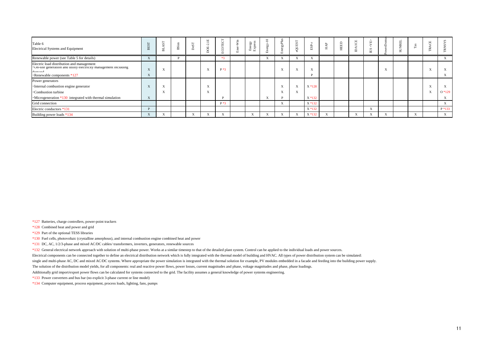| Table 6<br>Electrical Systems and Equipment                                                                                                            |           | 声                         | <b>BSim</b> | ČΩ           | 凹<br>$-$                  | ピロ<br>⊢<br>ū              | Win<br>面 | Energy<br>Express | $\mathbb{S}^2$<br>$r - 1$ | ≔<br>$\sim$<br>➢<br>bń    | Ō.<br>⊃           | S<br>[T]                  | <b>P</b><br>≺<br>ェ | ш<br>ш | $\Box$<br>τj<br>$\mathbf{a}$ | $\Delta$<br>S<br>Е           | $\sim$<br>∼<br>-<br>n |                           |                           |
|--------------------------------------------------------------------------------------------------------------------------------------------------------|-----------|---------------------------|-------------|--------------|---------------------------|---------------------------|----------|-------------------|---------------------------|---------------------------|-------------------|---------------------------|--------------------|--------|------------------------------|------------------------------|-----------------------|---------------------------|---------------------------|
| Renewable power (see Table 5 for details)                                                                                                              | $\Lambda$ |                           |             |              |                           | $*3$                      |          |                   | x×                        |                           | $\Lambda$         | $x \times$<br>$\lambda$   |                    |        |                              |                              |                       |                           | X                         |
| Electric load distribution and management<br>• On-site generation and utility electricity management including<br>damand<br>•Renewable components *127 | $\Lambda$ | $\mathbf{v}$<br>$\Lambda$ |             |              | $\mathbf{v}$<br>$\Lambda$ | $P*3$                     |          |                   |                           | $\mathbf{x}$<br>$\Delta$  | $\Lambda$         | $\mathbf{x}$<br>$\Lambda$ |                    |        |                              |                              |                       |                           | $\Lambda$                 |
| Power generators                                                                                                                                       |           |                           |             |              |                           |                           |          |                   |                           |                           |                   |                           |                    |        |                              |                              |                       |                           |                           |
| ·Internal combustion engine generator                                                                                                                  | $\Lambda$ | $\mathbf{v}$<br>$\Lambda$ |             |              | $\mathbf{v}$              |                           |          |                   |                           | $\mathbf{x}$<br>$\Delta$  | $\mathbf{v}$<br>A | $X * 128$                 |                    |        |                              |                              |                       |                           | $\Lambda$                 |
| <b>Combustion</b> turbine                                                                                                                              |           | $\mathbf{v}$<br>$\Lambda$ |             |              | $\mathbf{v}$              |                           |          |                   |                           | $\mathbf{x}$<br>$\Lambda$ | $\Lambda$         |                           |                    |        |                              |                              |                       |                           | $O*129$                   |
| $\cdot$ Microgeneration $*130$ integrated with thermal simulation                                                                                      | $\Lambda$ |                           |             |              |                           | D                         |          |                   | $\mathbf{A}$              |                           |                   | $X * 132$                 |                    |        |                              |                              |                       |                           | $\lambda$                 |
| Grid connection                                                                                                                                        |           |                           |             |              |                           | $P*3$                     |          |                   |                           | $\boldsymbol{\mathrm{X}}$ |                   | $X * 132$                 |                    |        |                              |                              |                       |                           | $\boldsymbol{\mathrm{X}}$ |
| Electric conductors *131                                                                                                                               |           |                           |             |              |                           |                           |          |                   |                           |                           |                   | $X * 132$                 |                    |        |                              | $\mathbf{X}$                 |                       |                           | P *133                    |
| Building power loads *134                                                                                                                              | $\Lambda$ | $\Lambda$                 |             | $\mathbf{x}$ | $\Lambda$                 | $\mathbf{v}$<br>$\Lambda$ |          |                   |                           | $\lambda$                 | $\Lambda$         | $X * 132$                 | $\mathbf{A}$       |        |                              | $\mathbf{v}$<br>$\mathbf{A}$ |                       | $\mathbf{x}$<br>$\Lambda$ | $\mathbf{X}$              |

\*127 Batteries, charge controllers, power-point trackers

\*128 Combined heat and power and grid

\*129 Part of the optional TESS libraries

\*130 Fuel cells, photovoltaic (crystalline amorphous), and internal combustion engine combined heat and power

\*131 DC, AC, 1/2/3-phase and mixed AC/DC cables/ transformers, inverters, generators, renewable sources

\*132 General electrical network approach with solution of multi-phase power. Works at a similar timestep to that of the detailed plant system. Control can be applied to the individual loads and power sources.

Electrical components can be connected together to define an electrical distribution network which is fully integrated with the thermal model of building and HVAC. All types of power distribution system can be simulated:

single and multi-phase AC, DC and mixed AC/DC systems. Where appropriate the power simulation is integrated with the thermal solution for example, PV modules embedded in a facade and feeding into the building power supply.

The solution of the distribution model yields, for all components: real and reactive power flows, power losses, current magnitudes and phase, voltage magnitudes and phase, phase loadings.

Additionally grid import/export power flows can be calculated for systems connected to the grid. The facility assumes a general knowledge of power systems engineering.

\*133 Power converters and bus bar (no explicit 3-phase current or line model)

\*134 Computer equipment, process equipment, process loads, lighting, fans, pumps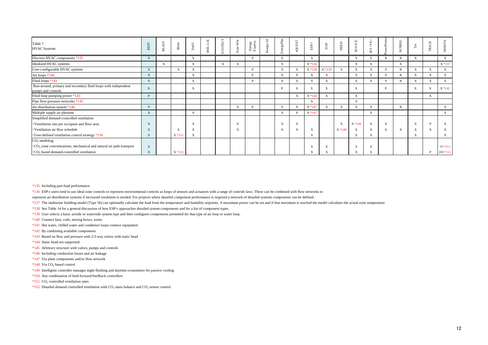| Table 7<br><b>HVAC Systems</b>                                                         | <b>BEST</b>  | $\mathbf{S}\mathbf{T}$<br>声 | <b>BSim</b>  | $_{\rm DeST}$             | 2.1E<br>DOE. | ECOTECT     | $-Win$<br>å               | Energy<br>Express | $Energy-10$ | EnergyPlus                | <b>LSHIOS:</b> | $_{\rm{ESP-r}}$ | $_{\rm HAP}$              | HEED                      | ICE<br>$\mathbb{A}$       | <ab><br/><math display="inline">\overline{\text{EB}}</math></ab> | $r$ Domu     | <b>SUNREL</b> | $_{\rm Tas}$ | ACE<br>E    | <b>TRNSYS</b>             |
|----------------------------------------------------------------------------------------|--------------|-----------------------------|--------------|---------------------------|--------------|-------------|---------------------------|-------------------|-------------|---------------------------|----------------|-----------------|---------------------------|---------------------------|---------------------------|------------------------------------------------------------------|--------------|---------------|--------------|-------------|---------------------------|
| Discrete HVAC components *135                                                          | X            |                             |              | X                         |              |             |                           | <b>P</b>          |             | $\mathbf X$               |                | X               |                           |                           | $\mathbf X$               | X                                                                | R            | $\mathbb{R}$  | $\mathbf{X}$ |             | X                         |
| Idealized HVAC systems                                                                 |              | $\mathbf X$                 |              | X                         |              | $\mathbf X$ | $\mathbf{X}$              |                   |             | X                         |                | $X * 136$       |                           |                           | $\mathbf X$               | X                                                                |              | $\mathbf X$   |              |             | X *137                    |
| User-configurable HVAC systems                                                         | X            |                             | $\mathbf{X}$ | X                         |              |             |                           | D                 |             | X                         | X              | X *138          | $X * 139$                 | $\mathbf{X}$              | X                         | X                                                                | X            |               | $\mathbf{X}$ | X           | $\boldsymbol{\mathrm{X}}$ |
| Air loops *140                                                                         | X            |                             |              | X                         |              |             |                           | D                 |             | X                         | D              | X               | $\boldsymbol{\mathrm{X}}$ |                           | $\boldsymbol{\mathrm{X}}$ | X                                                                | X            |               | X            | $\mathbf X$ | $\mathbf X$               |
| Fluid loops *141                                                                       | X            |                             |              | $\mathbf{X}$              |              |             |                           | P                 |             | $\mathbf X$               | X              | X               | $\mathbf{X}$              |                           | $\mathbf{X}$              | $\mathbf X$                                                      | D            |               | $\mathbf{X}$ | X           | $\mathbf{X}$              |
| Run-around, primary and secondary fluid loops with independent<br>pumps and controls   | X            |                             |              | X                         |              |             |                           |                   |             | D                         | X              | X               | $\boldsymbol{\mathrm{X}}$ |                           | X                         |                                                                  | D            |               | X            | X           | $X * 142$                 |
| Fluid loop pumping power *143                                                          |              |                             |              |                           |              |             |                           |                   |             |                           | X              | X * 144         | $\mathbf X$               |                           | $\mathbf{X}$              |                                                                  |              |               |              | X           |                           |
| Pipe flow-pressure networks *145                                                       |              |                             |              |                           |              |             |                           |                   |             |                           |                | X               |                           |                           | X                         |                                                                  |              |               |              |             |                           |
| Air distribution system *146                                                           |              |                             |              |                           |              |             | $\boldsymbol{\mathrm{X}}$ | D                 |             | X                         | $\mathbf{X}$   | X *147          | $\boldsymbol{\mathrm{X}}$ | $\mathbf X$               | X                         | X                                                                |              | $\mathbb{R}$  |              |             | $\mathbf{X}$              |
| Multiple supply air plenums                                                            | X            |                             |              | D                         |              |             |                           |                   |             | $\boldsymbol{\mathrm{X}}$ | <b>D</b>       | X *147          |                           |                           |                           | X                                                                |              |               |              |             | $\mathbf{X}$              |
| Simplified demand-controlled ventilation                                               |              |                             |              |                           |              |             |                           |                   |             |                           |                |                 |                           |                           |                           |                                                                  |              |               |              |             |                           |
| • Ventilation rate per occupant and floor area                                         | X            |                             |              | $\boldsymbol{\mathrm{X}}$ |              |             |                           |                   |             | $\boldsymbol{\mathrm{X}}$ | X              |                 |                           | $\boldsymbol{\mathrm{X}}$ | $X * 148$                 | $\boldsymbol{\mathrm{X}}$                                        | $\mathbf{X}$ |               | X            | D           | $\mathbf{X}$              |
| · Ventilation air flow schedule                                                        | X            |                             | X            | $\mathbf{v}$<br>A         |              |             |                           |                   |             | $\mathbf{v}$<br>$\Lambda$ | X              | X               |                           | $X * 149$                 | X                         | X                                                                | $\mathbf X$  | X             | X            |             | X                         |
| • User-defined ventilation control strategy *150                                       | $\mathbf{X}$ |                             | $X * 151$    | X                         |              |             |                           |                   |             |                           |                | X               |                           |                           | X                         | X                                                                |              |               | X            |             | X                         |
| $CO2$ modeling                                                                         |              |                             |              |                           |              |             |                           |                   |             |                           |                |                 |                           |                           |                           |                                                                  |              |               |              |             |                           |
| $\cdot$ CO <sub>2</sub> zone concentrations, mechanical and natural air path transport | X            |                             |              |                           |              |             |                           |                   |             |                           |                | A               | X                         |                           | X                         | X                                                                |              |               |              |             | $0*111$                   |
| $\cdot$ CO <sub>2</sub> based demand-controlled ventilation                            | X            |                             | $X * 152$    |                           |              |             |                           |                   |             |                           |                |                 | X                         |                           | X                         | X                                                                |              |               |              |             | EO *111                   |

\*135 Including part-load performance

\*136 ESP-r users tend to use ideal zone controls to represent environmental controls as loops of sensors and actuators with a range of controls laws. These can be combined with flow networks to

represent air distribution systems if increased resolution is needed. For projects where detailed component performance is required a network of detailed systems components can be defined.

\*137 The multizone building model (Type 56) can optionally calculate the load from the temperature and humidity setpoints. A maximum power can be set and if that maximum is reached the model calculates the actual zone temp

\*138 See Table 14 for a general discussion of how ESP-r approaches detailed system components and for a list of component types.

\*139 User selects a basic airside or waterside system type and then configures components permitted for that type of air loop or water loop.

\*140 Connect fans, coils, mixing boxes, zones

- \*141 Hot water, chilled water and condenser loops connect equipment
- \*142 By combining available components
- \*143 Based on flow and pressure with 2/3-way valves with static head
- \*144 Static head not supported.
- \*145 Arbitrary structure with valves, pumps and controls
- \*146 Including conduction losses and air leakage
- \*147 Via plant components and/or flow network
- $*148$  Via CO<sub>2</sub> based control
- \*149 Intelligent controller manages night flushing and daytime economizer for passive cooling
- \*150 Any combination of feed-forward/feedback controllers
- $*151$  CO<sub>2</sub> controlled ventilation rates
- \*152 Detailed demand controlled ventilation with  $CO<sub>2</sub>$  mass balance and  $CO<sub>2</sub>$  sensor control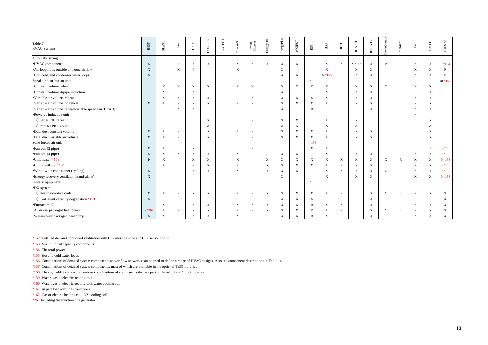| Table 7<br><b>HVAC Systems</b>                       | <b>BEST</b>  | $_{\rm BLAST}$            | BSim                      | $_{\rm DeST}$    | DOE-2.1E                  | ECOTECT | Ener-Win                  | Energy<br>Express         | $Energy-10$               | EnergyPlus                | eQUEST                    | $_{\rm{ESP-r}}$           | ${\rm HAP}$               | HEED                      | <b>DAICE</b>              | <ab><br/><math display="inline">\overline{\text{EB}}</math></ab> | owerDomu                  | <b>SUNREL</b> | $_{\rm Tas}$              | TRACE                     | <b>TRNSYS</b> |
|------------------------------------------------------|--------------|---------------------------|---------------------------|------------------|---------------------------|---------|---------------------------|---------------------------|---------------------------|---------------------------|---------------------------|---------------------------|---------------------------|---------------------------|---------------------------|------------------------------------------------------------------|---------------------------|---------------|---------------------------|---------------------------|---------------|
| Automatic sizing                                     |              |                           |                           |                  |                           |         |                           |                           |                           |                           |                           |                           |                           |                           |                           |                                                                  |                           |               |                           |                           |               |
| · HVAC components                                    | $\mathbf{X}$ |                           | P                         | $\mathbf X$      | $\mathbf{X}$              |         | $\mathbf X$               | $\mathbf X$               | $\mathbf X$               | $\boldsymbol{\mathrm{X}}$ | $\mathbf{X}$              |                           | $\mathbf{X}$              | $\mathbf X$               | $X * 153$                 | $\mathbf X$                                                      | P                         | $\mathbb{R}$  | $\mathbf X$               | $\mathbf X$               | $P*154$       |
| · Air loop flow, outside air, zone airflow           | $\mathbf{X}$ |                           | $\mathbf X$               | <b>D</b>         |                           |         | $\mathbf{X}$              |                           |                           | $\mathbf X$               |                           |                           | $\mathbf{X}$              |                           | $\mathbf{X}$              | $\mathbf{X}$                                                     |                           |               | $\mathbf X$               | $\mathbf{X}$              | $\mathbf{P}$  |
| · Hot, cold, and condenser water loops               | $\mathbf{X}$ |                           |                           | P                |                           |         |                           |                           |                           | $\mathbf X$               | $\mathbf{X}$              |                           | $X * 155$                 |                           | $\boldsymbol{\mathrm{X}}$ | $\mathbf X$                                                      |                           |               | $\mathbf X$               | $\mathbf X$               | P             |
| Zonal air distribution unit                          |              |                           |                           |                  |                           |         |                           |                           |                           |                           |                           | $I*156$                   |                           |                           |                           |                                                                  |                           |               |                           |                           | OI *157       |
| ·Constant volume reheat                              |              | $\mathbf{X}$              | $\mathbf{X}$              | $\mathbf X$      | $\mathbf{X}$              |         | $\mathbf{X}$              | $\boldsymbol{\mathrm{X}}$ |                           | $\boldsymbol{\mathrm{X}}$ | $\mathbf{X}$              | X                         | $\boldsymbol{\mathrm{X}}$ |                           | $\mathbf X$               | $\mathbf X$                                                      | $\mathbf{X}$              |               | $\mathbf X$               | $\mathbf{X}$              |               |
| Constant volume 4-pipe induction                     |              | X                         |                           | X                |                           |         |                           | P                         |                           | $\boldsymbol{\mathrm{X}}$ |                           |                           | $\mathbf{X}$              |                           | $\boldsymbol{\mathrm{X}}$ | $\mathbf{X}$                                                     |                           |               |                           | $\mathbf X$               |               |
| · Variable air volume reheat                         |              | X                         | $\boldsymbol{\mathrm{X}}$ | X                | $\boldsymbol{\mathrm{X}}$ |         |                           | X                         |                           | $\mathbf X$               | $\mathbf{X}$              | X                         | $\mathbf{X}$              |                           | X                         | X                                                                |                           |               | $\mathbf{X}$              | X                         |               |
| · Variable air volume no reheat                      | $\mathbf{X}$ | $\mathbf X$               | $\mathbf X$               | X                | $\mathbf{X}$              |         | $\mathbf{X}$              | $\boldsymbol{\mathrm{X}}$ |                           | $\mathbf X$               | $\mathbf X$               | X                         | $\mathbf{X}$              |                           | $\mathbf{X}$              | $\boldsymbol{\mathrm{X}}$                                        |                           |               | X                         | X                         |               |
| Variable air volume reheat/variable speed fan (UFAD) |              |                           | $\boldsymbol{\mathrm{X}}$ | $\mathbf X$      |                           |         |                           | D                         |                           | $\mathbf X$               |                           | $\mathbb{R}$              |                           |                           |                           | $\mathbf X$                                                      |                           |               | $\boldsymbol{\mathrm{X}}$ | $\mathbf X$               |               |
| ·Powered induction unit                              |              |                           |                           |                  |                           |         |                           |                           |                           |                           |                           |                           |                           |                           |                           |                                                                  |                           |               | $\mathbf{X}$              |                           |               |
| ○Series PIU reheat                                   |              |                           |                           |                  | $\boldsymbol{\mathrm{X}}$ |         |                           | P                         |                           | $\mathbf X$               | $\mathbf{X}$              |                           | $\boldsymbol{\mathrm{X}}$ |                           | $\boldsymbol{\mathrm{X}}$ |                                                                  |                           |               |                           | X                         |               |
| ○ Parallel PIU reheat                                |              |                           |                           |                  | $\boldsymbol{\mathrm{X}}$ |         |                           |                           |                           | $\mathbf{X}$              | $\mathbf{X}$              |                           | $\mathbf{X}$              |                           | $\mathbf{X}$              |                                                                  |                           |               |                           | X                         |               |
| Dual duct constant volume                            | $\mathbf{X}$ | $\mathbf{X}$              | $\mathbf{X}$              |                  | $\mathbf{X}$              |         | $\mathbf{X}$              | P                         |                           | $\mathbf{X}$              | $\mathbf{X}$              | $\boldsymbol{\mathrm{X}}$ | $\mathbf{X}$              |                           | $\mathbf{X}$              | $\boldsymbol{\mathrm{X}}$                                        |                           |               |                           | X                         |               |
| ·Dual duct variable air volume                       | $\mathbf{X}$ | $\mathbf X$               | $\mathbf{X}$              |                  | $\boldsymbol{\mathrm{X}}$ |         |                           | D                         |                           | $\mathbf X$               | $\mathbf{X}$              | X                         | $\boldsymbol{\mathrm{X}}$ |                           | $\mathbf X$               | $\mathbf X$                                                      |                           |               |                           | $\mathbf X$               |               |
| Zone forced air unit                                 |              |                           |                           |                  |                           |         |                           |                           |                           |                           |                           | $I*156$                   |                           |                           |                           |                                                                  |                           |               |                           |                           |               |
| · Fan coil (2 pipe)                                  | $\mathbf{X}$ | $\mathbf X$               |                           | $\boldsymbol{X}$ |                           |         |                           | P                         |                           |                           |                           | $\boldsymbol{\mathrm{X}}$ | $\mathbf{X}$              |                           |                           |                                                                  |                           |               |                           | P                         | $O*158$       |
| · Fan coil (4 pipe)                                  | $\mathbf{X}$ | $\mathbf X$               | $\mathbf{X}$              | X                | $\mathbf{X}$              |         | $\mathbf{X}$              | P                         |                           | $\mathbf X$               | $\mathbf{X}$              |                           | $\mathbf{X}$              |                           | $\mathbf{X}$              | $\boldsymbol{\mathrm{X}}$                                        |                           |               | $\mathbf X$               | $\mathbf{X}$              | $O*158$       |
| · Unit heater *159                                   | P            | $\boldsymbol{\mathrm{X}}$ |                           | X                | $\boldsymbol{\mathrm{X}}$ |         | $\boldsymbol{\mathrm{X}}$ |                           | $\boldsymbol{\mathrm{X}}$ | X                         | $\mathbf X$               | X                         | $\boldsymbol{\mathrm{X}}$ | $\boldsymbol{\mathrm{X}}$ | X                         | $\mathbf{X}$                                                     | $\boldsymbol{\mathrm{X}}$ | $\mathbb{R}$  | $\mathbf{X}$              | $\boldsymbol{\mathrm{X}}$ | $O*158$       |
| · Unit ventilator *160                               |              | $\mathbf X$               |                           | P                | $\boldsymbol{\mathrm{X}}$ |         | $\boldsymbol{\mathrm{X}}$ |                           | $\mathbf X$               | $\mathbf{X}$              | $\mathbf{X}$              | $\mathbf X$               | $\mathbf{X}$              | $\mathbf X$               | $\mathbf{X}$              | $\mathbf X$                                                      |                           |               | $\mathbf X$               | $\mathbf X$               | $O*158$       |
| · Window air-conditioner (cycling)                   | $\mathbf{X}$ |                           |                           | X                | $\boldsymbol{\mathrm{X}}$ |         | $\boldsymbol{\mathrm{X}}$ | P                         | $\boldsymbol{\mathrm{X}}$ | $\mathbf X$               | $\mathbf{X}$              |                           | $\boldsymbol{\mathrm{X}}$ | X                         | $\boldsymbol{\mathrm{X}}$ | $\mathbf X$                                                      | $\boldsymbol{\mathrm{X}}$ | $\mathbb{R}$  | $\boldsymbol{\mathrm{X}}$ | X                         | $O*158$       |
| · Energy recovery ventilator (stand-alone)           | $\mathbf{X}$ |                           |                           |                  |                           |         |                           |                           |                           | $\mathbf X$               |                           |                           | $\mathbf X$               |                           | X                         | X                                                                |                           |               | $\mathbf X$               | $\mathbf X$               | $O*158$       |
| Unitary equipment                                    |              |                           |                           |                  |                           |         |                           |                           |                           |                           |                           | $I*156$                   |                           |                           |                           |                                                                  |                           |               |                           |                           |               |
| ·DX system                                           |              |                           |                           |                  |                           |         |                           |                           |                           |                           |                           |                           |                           |                           |                           |                                                                  |                           |               |                           |                           |               |
| $\bigcirc$ Heating/cooling coils                     | $\mathbf{X}$ | $\mathbf X$               | $\mathbf{X}$              | X                | $\mathbf{X}$              |         | X                         | P                         | X                         | $\boldsymbol{\mathrm{X}}$ | $\mathbf{X}$              | X                         | $\boldsymbol{\mathrm{X}}$ | X                         |                           | X                                                                | $\boldsymbol{\mathrm{X}}$ | $\mathbb{R}$  | $\boldsymbol{\mathrm{X}}$ | X                         | X             |
| $\bigcirc$ Coil latent capacity degradation *161     | $\mathbf{X}$ |                           |                           |                  |                           |         |                           |                           |                           | $\boldsymbol{\mathrm{X}}$ | $\mathbf{X}$              | X                         |                           |                           |                           | $\mathbf X$                                                      |                           |               |                           |                           | X             |
| $\cdot$ Furnace *162                                 |              | $\boldsymbol{\mathrm{X}}$ |                           | X                | $\boldsymbol{\mathrm{X}}$ |         | X                         | X                         | $\boldsymbol{\mathrm{X}}$ | $\boldsymbol{\mathrm{X}}$ | $\boldsymbol{\mathrm{X}}$ | R                         | $\boldsymbol{\mathrm{X}}$ | $\mathbf X$               |                           | $\mathbf X$                                                      |                           | R             | X                         | X                         | X             |
| Air-to-air packaged heat pump                        | $X*267$      | X                         | $\boldsymbol{\mathrm{X}}$ | X                | X                         |         | X                         | P                         | X                         | X                         | $\mathbf{X}$              | R                         | X                         | X                         |                           | X                                                                | X                         | R             | $\mathbf{X}$              | X                         | X             |
| · Water-to-air packaged heat pump                    | $\mathbf{X}$ | $\mathbf X$               |                           | $\mathbf X$      | $\mathbf X$               |         | X                         | P                         |                           | X                         | $\mathbf X$               | $\mathbb{R}$              | $\mathbf X$               |                           |                           | $\mathbf X$                                                      |                           | $\mathbb{R}$  | $\mathbf X$               | $\mathbf X$               | $\mathbf X$   |

\*152 Detailed demand controlled ventilation with  $CO_2$  mass balance and  $CO_2$  sensor control

\*153 Via unlimited capacity components

\*154 The total power

\*155 Hot and cold water loops

\*156 Combinations of detailed system components and/or flow networks can be used to define a range of HVAC designs. Also see component descriptions in Table 14.

\*157 Combinations of detailed system components, most of which are available in the optional TESS libraries

\*158 Through additional components or combinations of components that are part of the additional TESS libraries

\*159 Water, gas or electric heating coil

\*160 Water, gas or electric heating coil, water cooling coil

\*161 At part load (cycling) conditions

\*162 Gas or electric heating coil, DX cooling coil

\*267 Including the function of a generator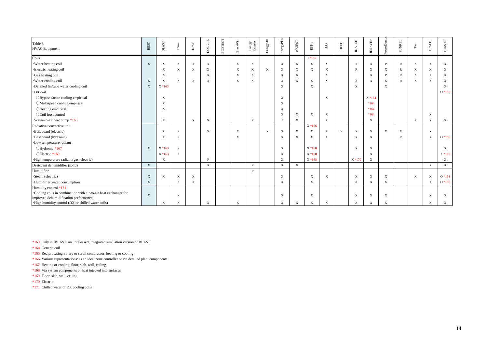| Table 8<br><b>HVAC</b> Equipment                                 | <b>BEST</b>               | $_{\rm BLAST}$            | <b>B</b> Sim              | $_{\rm DeST}$             | <b>DOE-2.1E</b>           | ECOTECT | Ener-Win                  | ${\rm Energy} \atop {\rm Express}$ | $Energy-10$ | EnergyPlus                | eQUEST                    | $_{\rm{ESP-}r}$           | ${\rm HAP}$               | HEED         | <b>DAICE</b>              | <ab><br/><math display="inline">\mathbb{E}\mathbf{S}</math></ab> | werDomu      | <b>SUNREL</b>             | $_{\rm Tas}$ | TRACE        | <b>TRNSYS</b> |
|------------------------------------------------------------------|---------------------------|---------------------------|---------------------------|---------------------------|---------------------------|---------|---------------------------|------------------------------------|-------------|---------------------------|---------------------------|---------------------------|---------------------------|--------------|---------------------------|------------------------------------------------------------------|--------------|---------------------------|--------------|--------------|---------------|
| Coils                                                            |                           |                           |                           |                           |                           |         |                           |                                    |             |                           |                           | $I*156$                   |                           |              |                           |                                                                  |              |                           |              |              |               |
| · Water heating coil                                             | $\mathbf{X}$              | $\mathbf X$               | $\mathbf{X}$              | $\mathbf X$               | $\mathbf X$               |         | $\boldsymbol{X}$          | $\mathbf X$                        |             | $\mathbf{X}$              | $\mathbf X$               | $\boldsymbol{\mathrm{X}}$ | $\mathbf X$               |              | $\boldsymbol{\mathrm{X}}$ | $\mathbf X$                                                      | D            | $\mathbb{R}$              | $\mathbf X$  | $\mathbf X$  | $\mathbf X$   |
| ·Electric heating coil                                           |                           | X                         | $\mathbf{X}$              | $\mathbf X$               | $\boldsymbol{\mathrm{X}}$ |         | $\boldsymbol{\mathrm{X}}$ | $\mathbf X$                        | $\mathbf X$ | $\mathbf{X}$              | $\mathbf X$               | X                         | $\boldsymbol{\mathrm{X}}$ |              | $\mathbf R$               | $\mathbf X$                                                      | $\mathbf X$  | $\mathbb{R}$              | $\mathbf X$  | $\mathbf X$  | X             |
| · Gas heating coil                                               |                           | X                         |                           |                           | $\mathbf{X}$              |         | $\boldsymbol{\mathrm{X}}$ | $\mathbf X$                        |             | $\boldsymbol{\mathrm{X}}$ | $\mathbf{X}$              |                           | $\mathbf{X}$              |              |                           | $\mathbf{X}$                                                     | D            | $\mathbb{R}$              | $\mathbf X$  | X            | X             |
| · Water cooling coil                                             | $\mathbf{X}$              | $\mathbf{X}$              | $\mathbf{X}$              | $\boldsymbol{\mathrm{X}}$ | $\boldsymbol{\mathrm{X}}$ |         | $\boldsymbol{\mathrm{X}}$ | $\mathbf X$                        |             | $\boldsymbol{\mathrm{X}}$ | $\mathbf{X}$              | X                         | $\mathbf{X}$              |              | X                         | $\mathbf X$                                                      | $\mathbf X$  | $\mathbb{R}$              | $\mathbf X$  | $\mathbf X$  | X             |
| · Detailed fin/tube water cooling coil                           | $\boldsymbol{\mathrm{X}}$ | $X * 163$                 |                           |                           |                           |         |                           |                                    |             | $\mathbf{X}$              |                           | $\mathbf{X}$              |                           |              | X                         |                                                                  | $\mathbf{X}$ |                           |              |              | X             |
| ·DX coil                                                         |                           |                           |                           |                           |                           |         |                           |                                    |             |                           |                           |                           |                           |              |                           |                                                                  |              |                           |              |              | $O*158$       |
| ○ Bypass factor cooling empirical                                |                           | $\boldsymbol{\mathrm{X}}$ |                           |                           |                           |         |                           |                                    |             | $\mathbf{X}$              |                           |                           | $\mathbf{X}$              |              |                           | $X * 164$                                                        |              |                           |              |              |               |
| OMultispeed cooling empirical                                    |                           | $\boldsymbol{\mathrm{X}}$ |                           |                           |                           |         |                           |                                    |             | $\boldsymbol{\mathrm{X}}$ |                           |                           |                           |              |                           | $*164$                                                           |              |                           |              |              |               |
| OHeating empirical                                               |                           | $\boldsymbol{\mathrm{X}}$ |                           |                           |                           |         |                           |                                    |             | $\boldsymbol{\mathrm{X}}$ |                           |                           |                           |              |                           | $*164$                                                           |              |                           |              |              |               |
| ○Coil frost control                                              |                           |                           |                           |                           |                           |         |                           |                                    |             | $\boldsymbol{\mathrm{X}}$ | $\boldsymbol{\mathrm{X}}$ | $\boldsymbol{\mathrm{X}}$ | $\boldsymbol{\mathrm{X}}$ |              |                           | $*164$                                                           |              |                           |              | $\mathbf X$  |               |
| Water-to-air heat pump *165                                      |                           | $\mathbf X$               |                           | $\boldsymbol{\mathrm{X}}$ | $\boldsymbol{\mathrm{X}}$ |         |                           | P                                  |             | $\mathbf I$               | $\mathbf X$               |                           | $\mathbf X$               |              |                           | $\mathbf X$                                                      |              |                           | $\mathbf X$  | $\mathbf X$  | X             |
| Radiative/convective unit                                        |                           |                           |                           |                           |                           |         |                           |                                    |             |                           |                           | $X * 166$                 |                           |              |                           |                                                                  |              |                           |              |              |               |
| ·Baseboard (electric)                                            |                           | X                         | $\mathbf{X}$              |                           | $\boldsymbol{\mathrm{X}}$ |         | $\mathbf{X}$              |                                    | $\mathbf X$ | $\boldsymbol{\mathrm{X}}$ | $\boldsymbol{\mathrm{X}}$ | X                         | $\mathbf X$               | $\mathbf{X}$ | X                         | $\mathbf X$                                                      | $\mathbf X$  | $\boldsymbol{\mathrm{X}}$ |              | $\mathbf{X}$ |               |
| ·Baseboard (hydronic)                                            |                           | X                         | $\boldsymbol{\mathrm{X}}$ |                           |                           |         | X                         |                                    |             | X                         | X                         | X                         | $\boldsymbol{\mathrm{X}}$ |              | X                         | $\mathbf X$                                                      |              | $\mathbb{R}$              |              | $\mathbf X$  | $O*158$       |
| · Low temperature radiant                                        |                           |                           |                           |                           |                           |         |                           |                                    |             |                           |                           |                           |                           |              |                           |                                                                  |              |                           |              |              |               |
| ○Hydronic *167                                                   | $\mathbf{X}$              | $X * 16$                  | $\mathbf X$               |                           |                           |         |                           |                                    |             | $\boldsymbol{\mathrm{X}}$ |                           | $X * 168$                 |                           |              | X                         | $\mathbf X$                                                      |              |                           |              |              | X             |
| $\bigcirc$ Electric *169                                         |                           | $X * 163$                 | X                         |                           |                           |         |                           |                                    |             | $\boldsymbol{\mathrm{X}}$ |                           | $X * 168$                 |                           |              |                           | $\mathbf X$                                                      |              |                           |              |              | $X * 168$     |
| · High temperature radiant (gas, electric)                       |                           | X                         |                           |                           | P                         |         |                           |                                    |             | X                         |                           | $X * 168$                 |                           |              | $X * 170$                 | $\mathbf X$                                                      |              |                           |              |              | $\mathbf{X}$  |
| Desiccant dehumidifier (solid)                                   | $\mathbf{X}$              |                           |                           |                           | $\mathbf X$               |         |                           | $\mathbf{P}$                       |             | $\mathbf{X}$              | $\mathbf X$               |                           |                           |              |                           |                                                                  |              |                           |              | $\mathbf{X}$ | X             |
| Humidifier                                                       |                           |                           |                           |                           |                           |         |                           | P                                  |             |                           |                           |                           |                           |              |                           |                                                                  |              |                           |              |              |               |
| · Steam (electric)                                               | $\mathbf{X}$              | $\mathbf X$               | $\mathbf X$               | $\mathbf X$               |                           |         |                           |                                    |             | $\boldsymbol{X}$          |                           | $\boldsymbol{\mathrm{X}}$ | $\boldsymbol{\mathrm{X}}$ |              | X                         | $\mathbf{X}$                                                     | $\mathbf X$  |                           | $\mathbf X$  | $\mathbf{X}$ | $O*158$       |
| · Humidifier water consumption                                   | $\mathbf{X}$              |                           | $\mathbf X$               | $\mathbf X$               |                           |         |                           |                                    |             | $\mathbf X$               |                           | $\mathbf X$               |                           |              | X                         | $\mathbf X$                                                      | $\mathbf X$  |                           |              | $\mathbf X$  | $O*158$       |
| Humidity control *171                                            |                           |                           |                           |                           |                           |         |                           |                                    |             |                           |                           |                           |                           |              |                           |                                                                  |              |                           |              |              |               |
| •Cooling coils in combination with air-to-air heat exchanger for | $\mathbf{X}$              |                           | $\mathbf{X}$              |                           |                           |         |                           |                                    |             | $\mathbf{X}$              |                           | $\boldsymbol{\mathrm{X}}$ |                           |              | X                         | $\mathbf X$                                                      | $\mathbf X$  |                           |              | X            | X             |
| improved dehumidification performance                            |                           |                           |                           |                           |                           |         |                           |                                    |             |                           |                           |                           |                           |              |                           |                                                                  |              |                           |              |              |               |
| · High humidity control (DX or chilled water coils)              |                           | X                         | $\mathbf X$               |                           | $\mathbf{X}$              |         | X                         |                                    |             | X                         | X                         | X                         | $\boldsymbol{\mathrm{X}}$ |              | X                         | X                                                                | X            |                           |              | $\mathbf X$  | X             |

\*163 Only in IBLAST, an unreleased, integrated simulation version of BLAST.

\*164 Generic coil

\*165 Reciprocating, rotary or scroll compressor, heating or cooling

\*166 Various representations: as an ideal zone controller or via detailed plant components.

\*167 Heating or cooling, floor, slab, wall, ceiling

\*168 Via system components or heat injected into surfaces

\*169 Floor, slab, wall, ceiling

\*170 Electric

\*171 Chilled water or DX cooling coils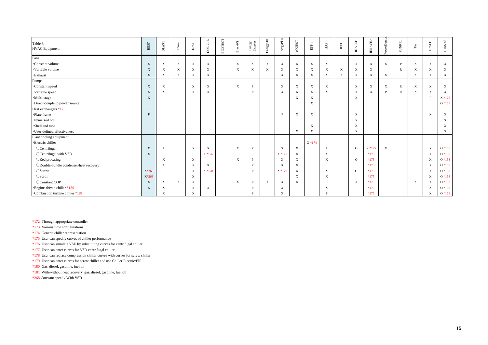| Table 8<br><b>HVAC</b> Equipment       | $_{\rm BEST}$ | <b>BLAST</b>              | $B\mathrm{Sim}$           | $_{\rm DeST}$             | DOE-2.1E                  | ECOTECT | Ener-Win                  | Energy<br>Express | $Energy-10$               | EnergyPlus                | eQUEST                    | $_{\rm ESP-r}$            | ${\rm HAP}$               | <b>HEED</b> | <b>DAICE</b>              | $\leq$ VE><br>$\mathbb{E}\mathbf{S}$ | werDomus    | <b>SUNREL</b> | $_{\rm Tas}$              | TRACE                     | TRNSYS                    |
|----------------------------------------|---------------|---------------------------|---------------------------|---------------------------|---------------------------|---------|---------------------------|-------------------|---------------------------|---------------------------|---------------------------|---------------------------|---------------------------|-------------|---------------------------|--------------------------------------|-------------|---------------|---------------------------|---------------------------|---------------------------|
| Fans                                   |               |                           |                           |                           |                           |         |                           |                   |                           |                           |                           |                           |                           |             |                           |                                      |             |               |                           |                           |                           |
| ·Constant volume                       | $\mathbf{X}$  | $\boldsymbol{\mathrm{X}}$ | $\mathbf X$               | $\mathbf{X}$              | $\mathbf X$               |         | $\mathbf X$               | $\mathbf X$       | $\boldsymbol{\mathrm{X}}$ | $\mathbf{X}$              | $\mathbf X$               | $\boldsymbol{\mathrm{X}}$ | $\mathbf X$               |             | $\mathbf X$               | $\mathbf X$                          | $\mathbf X$ | P             | $\mathbf X$               | $\mathbf{X}$              | $\mathbf X$               |
| ·Variable volume                       | X             | $\boldsymbol{\mathrm{X}}$ | $\mathbf X$               | X                         | $\boldsymbol{\mathrm{X}}$ |         | $\boldsymbol{\mathrm{X}}$ | X                 | $\boldsymbol{\mathrm{X}}$ | X                         | $\mathbf{X}$              | X                         | $\boldsymbol{\mathrm{X}}$ | $\mathbf X$ | $\boldsymbol{\mathrm{X}}$ | $\boldsymbol{\mathrm{X}}$            |             | $\mathbb{R}$  | $\mathbf X$               | $\mathbf{X}$              | X                         |
| $\cdot$ Exhaust                        | X             | $\boldsymbol{\mathrm{X}}$ | $\boldsymbol{\mathrm{X}}$ | X                         | $\mathbf X$               |         |                           |                   |                           | $\mathbf X$               | $\mathbf X$               | X                         | $\mathbf X$               | $\mathbf X$ | $\boldsymbol{\mathrm{X}}$ | $\mathbf X$                          | $\mathbf X$ |               | $\mathbf X$               | X                         | $\mathbf X$               |
| Pumps                                  |               |                           |                           |                           |                           |         |                           |                   |                           |                           |                           |                           |                           |             |                           |                                      |             |               |                           |                           |                           |
| ·Constant speed                        | $\mathbf{X}$  | $\mathbf{X}$              |                           | $\mathbf{X}$              | $\mathbf X$               |         | $\mathbf X$               | P                 |                           | $\mathbf X$               | $\mathbf X$               | $\mathbf X$               | $\mathbf X$               |             | $\boldsymbol{X}$          | $\mathbf X$                          | $\mathbf X$ | $\mathbb{R}$  | $\mathbf X$               | $\mathbf{X}$              | $\boldsymbol{\mathrm{X}}$ |
| ·Variable speed                        | $\mathbf X$   | $\mathbf{X}$              |                           | $\boldsymbol{\mathrm{X}}$ | $\boldsymbol{X}$          |         |                           | P                 |                           | $\boldsymbol{\mathrm{X}}$ | $\mathbf X$               | $\boldsymbol{\mathrm{X}}$ | $\mathbf X$               |             | X                         | $\mathbf X$                          | P           | R             | $\mathbf X$               | $\boldsymbol{\mathrm{X}}$ | X                         |
| ·Multi-stage                           | X             |                           |                           |                           |                           |         |                           |                   |                           |                           | $\boldsymbol{\mathrm{X}}$ | $\mathbf X$               |                           |             | $\boldsymbol{X}$          |                                      |             |               |                           | P                         | $X * 172$                 |
| ·Direct-couple to power source         |               |                           |                           |                           |                           |         |                           |                   |                           |                           |                           | X                         |                           |             |                           |                                      |             |               |                           |                           | $O*158$                   |
| Heat exchangers *173                   |               |                           |                           |                           |                           |         |                           |                   |                           |                           |                           |                           |                           |             |                           |                                      |             |               |                           |                           |                           |
| ·Plate frame                           | P             |                           |                           |                           |                           |         |                           |                   |                           | P                         | X                         | $\mathbf X$               |                           |             | $\boldsymbol{\mathrm{X}}$ |                                      |             |               |                           | $\boldsymbol{\mathrm{X}}$ | $\boldsymbol{\mathrm{X}}$ |
| · Immersed coil                        |               |                           |                           |                           |                           |         |                           |                   |                           |                           |                           |                           |                           |             | $\boldsymbol{X}$          |                                      |             |               |                           |                           | X                         |
| ·Shell and tube                        |               |                           |                           |                           |                           |         |                           |                   |                           |                           |                           | $\boldsymbol{\mathrm{X}}$ |                           |             | X                         |                                      |             |               |                           |                           | X                         |
| · User-defined effectiveness           |               |                           |                           |                           |                           |         |                           |                   |                           |                           | $\boldsymbol{\mathrm{X}}$ | X                         |                           |             | X                         |                                      |             |               |                           |                           | $\mathbf{X}$              |
| Plant cooling equipment                |               |                           |                           |                           |                           |         |                           |                   |                           |                           |                           |                           |                           |             |                           |                                      |             |               |                           |                           |                           |
| ·Electric chiller                      |               |                           |                           |                           |                           |         |                           |                   |                           |                           |                           | X *174                    |                           |             |                           |                                      |             |               |                           |                           |                           |
| OCentrifugal                           | $\mathbf{X}$  | $\boldsymbol{\mathrm{X}}$ |                           | $\boldsymbol{\mathrm{X}}$ | $\mathbf X$               |         | X                         | P                 |                           | $\mathbf X$               | $\mathbf{X}$              |                           | $\mathbf X$               |             | $\Omega$                  | $X * 175$                            | $\mathbf X$ |               |                           | $\mathbf X$               | $O*158$                   |
| ○ Centrifugal with VSD                 | $\mathbf{X}$  |                           |                           |                           | $X * 176$                 |         |                           |                   |                           | $X * 177$                 | $\boldsymbol{\mathrm{X}}$ |                           | $\boldsymbol{\mathrm{X}}$ |             |                           | $*175$                               |             |               |                           | $\mathbf{X}$              | $O*158$                   |
| $\bigcirc$ Reciprocating               |               | $\mathbf{X}$              |                           | $\mathbf{X}$              |                           |         | $\mathbf{X}$              | P                 |                           | $\mathbf{X}$              | $\mathbf{X}$              |                           | $\mathbf{X}$              |             | $\Omega$                  | $*175$                               |             |               |                           | $\mathbf{X}$              | $O*158$                   |
| ODouble-bundle condenser/heat recovery |               | $\mathbf{X}$              |                           | X                         | $\boldsymbol{\mathrm{X}}$ |         |                           | D                 |                           | $\boldsymbol{\mathrm{X}}$ | $\mathbf{X}$              |                           |                           |             |                           | $*175$                               |             |               |                           | X                         | $O*158$                   |
| ○Screw                                 | $X*268$       |                           |                           | X                         | X * 178                   |         |                           | P                 |                           | $X * 179$                 | $\mathbf{X}$              |                           | $\boldsymbol{\mathrm{X}}$ |             | $\Omega$                  | $*175$                               |             |               |                           | $\mathbf{X}$              | $O*158$                   |
| OScroll                                | X*268         |                           |                           | $\boldsymbol{\mathrm{X}}$ |                           |         |                           |                   |                           |                           | $\mathbf{X}$              |                           | $\boldsymbol{\mathrm{X}}$ |             |                           | $*175$                               |             |               |                           | $\boldsymbol{\mathrm{X}}$ | $O*158$                   |
| OConstant COP                          | X             | $\mathbf{X}$              | $\mathbf{X}$              | $\mathbf X$               |                           |         | $\boldsymbol{\mathrm{X}}$ | P                 | $\boldsymbol{\mathrm{X}}$ | $\mathbf{X}$              | $\mathbf{X}$              |                           |                           |             | $\mathbf{X}$              | $*175$                               |             |               | $\boldsymbol{\mathrm{X}}$ | $\mathbf X$               | $O*158$                   |
| · Engine-driven chiller *180           | $\mathbf{X}$  | $\mathbf{X}$              |                           | X                         | $\boldsymbol{\mathrm{X}}$ |         |                           | D                 |                           | $\mathbf X$               |                           |                           | X                         |             |                           | $*175$                               |             |               |                           | $\mathbf X$               | $O*158$                   |
| ·Combustion turbine chiller *181       |               | X                         |                           | X                         |                           |         |                           | D                 |                           | X                         |                           |                           | $\mathbf{p}$              |             |                           | $*175$                               |             |               |                           | X                         | $O*158$                   |

\*172 Through appropriate controller

\*173 Various flow configurations

\*174 Generic chiller representation.

\*175 User can specify curves of chiller performance

\*176 User can simulate VSD by substituting curves for centrifugal chiller.

\*177 User can enter curves for VSD centrifugal chiller.

\*178 User can replace compression chiller curves with curves for screw chiller.

\*179 User can enter curves for screw chiller and use Chiller: Electric: EIR.

\*180 Gas, diesel, gasoline, fuel oil

\*181 With/without heat recovery, gas, diesel, gasoline, fuel oil

\*268 Constant speed / With VSD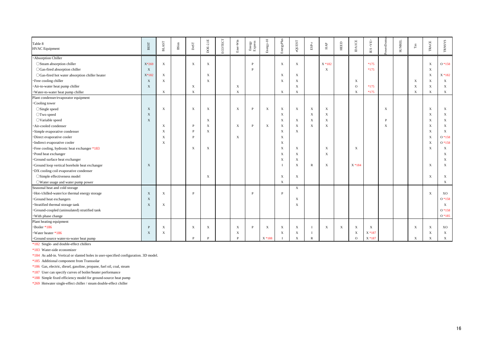| Table 8<br><b>HVAC</b> Equipment                | BEST         | $_{\rm BLAST}$            | BSim | $_{\rm DeST}$             | DOE-2.1E                  | ECOTECT | Ener-Win                  | Energy<br>Express | $Energy-10$               | EnergyPlus                | eQUEST                    | $_{\rm{ESP-}r}$           | ${\rm HAP}$               | HEED        | <b>DAICE</b> | <ve><br/><math display="inline">\mathbb{E}\mathbf{S}</math></ve> | werDomu     | <b>SUNREL</b> | $_{\rm Tas}$ | TRACE                     | <b>TRNSYS</b>             |
|-------------------------------------------------|--------------|---------------------------|------|---------------------------|---------------------------|---------|---------------------------|-------------------|---------------------------|---------------------------|---------------------------|---------------------------|---------------------------|-------------|--------------|------------------------------------------------------------------|-------------|---------------|--------------|---------------------------|---------------------------|
| · Absorption Chiller                            |              |                           |      |                           |                           |         |                           |                   |                           |                           |                           |                           |                           |             |              |                                                                  |             |               |              |                           |                           |
| ○ Steam absorption chiller                      | X*269        | $\mathbf{X}$              |      | $\mathbf X$               | $\mathbf X$               |         |                           | P                 |                           | $\mathbf{X}$              | $\mathbf X$               |                           | $X * 182$                 |             |              | $*175$                                                           |             |               |              | $\mathbf X$               | $O*158$                   |
| ○Gas-fired absorption chiller                   | $\mathbf{X}$ |                           |      |                           |                           |         |                           | D                 |                           |                           |                           |                           | $\boldsymbol{\mathrm{X}}$ |             |              | $*175$                                                           |             |               |              | $\mathbf{X}$              |                           |
| ○Gas-fired hot water absorption chiller heater  | X*182        | $\mathbf X$               |      |                           | $\mathbf{X}$              |         |                           |                   |                           | $\boldsymbol{X}$          | $\mathbf X$               |                           |                           |             |              |                                                                  |             |               |              | $\mathbf{X}$              | $X * 182$                 |
| · Free cooling chiller                          | $\mathbf{X}$ | $\mathbf X$               |      |                           | $\boldsymbol{\mathrm{X}}$ |         |                           |                   |                           | $\boldsymbol{\mathrm{X}}$ | $\mathbf X$               |                           |                           |             | X            |                                                                  |             |               | $\mathbf X$  | $\boldsymbol{\mathrm{X}}$ | $\boldsymbol{\mathrm{X}}$ |
| Air-to-water heat pump chiller                  | $\mathbf{X}$ |                           |      | $\mathbf X$               |                           |         | $\boldsymbol{X}$          |                   |                           |                           | $\mathbf X$               |                           |                           |             | $\Omega$     | $*175$                                                           |             |               | $\mathbf X$  | $\mathbf X$               | $\mathbf X$               |
| · Water-to-water heat pump chiller              |              | $\boldsymbol{\mathrm{X}}$ |      | X                         |                           |         | X                         |                   |                           | $\mathbf X$               | $\boldsymbol{\mathrm{X}}$ |                           |                           |             | X            | $*175$                                                           |             |               | $\mathbf X$  | $\mathbf X$               | $\boldsymbol{\mathrm{X}}$ |
| Plant condenser/evaporator equipment            |              |                           |      |                           |                           |         |                           |                   |                           |                           |                           |                           |                           |             |              |                                                                  |             |               |              |                           |                           |
| <b>Cooling</b> tower                            |              |                           |      |                           |                           |         |                           |                   |                           |                           |                           |                           |                           |             |              |                                                                  |             |               |              |                           |                           |
| $\circ$ Single speed                            | $\mathbf{X}$ | $\mathbf{X}$              |      | $\mathbf{X}$              | $\boldsymbol{\mathrm{X}}$ |         | $\mathbf{X}$              | P                 | $\mathbf X$               | $\mathbf{X}$              | X                         | $\boldsymbol{\mathrm{X}}$ | $\boldsymbol{\mathrm{X}}$ |             |              |                                                                  | $\mathbf X$ |               |              | $\mathbf{X}$              | X                         |
| ○Two speed                                      | $\mathbf{X}$ |                           |      |                           |                           |         |                           |                   |                           | $\mathbf{X}$              |                           | $\mathbf X$               | $\boldsymbol{\mathrm{X}}$ |             |              |                                                                  |             |               |              | $\boldsymbol{\mathrm{X}}$ | X                         |
| $\bigcirc$ Variable speed                       | $\mathbf{X}$ |                           |      |                           | $\mathbf{X}$              |         |                           |                   |                           | $\mathbf{X}$              | $\mathbf{X}$              | $\mathbf{X}$              | $\mathbf{X}$              |             |              |                                                                  | D           |               |              | $\boldsymbol{\mathrm{X}}$ | X                         |
| Air-cooled condenser                            |              | X                         |      | P                         | $\mathbf{X}$              |         | $\boldsymbol{\mathrm{X}}$ | P                 | $\mathbf X$               | $\boldsymbol{X}$          | $\mathbf X$               | $\mathbf X$               | $\boldsymbol{X}$          |             |              |                                                                  | X           |               |              | X                         | X                         |
| Simple evaporative condenser                    |              | X                         |      |                           | $\mathbf{X}$              |         |                           |                   |                           | X                         | $\mathbf{X}$              |                           |                           |             |              |                                                                  |             |               |              | X                         | $\mathbf{X}$              |
| ·Direct evaporative cooler                      |              | X                         |      | P                         |                           |         | $\boldsymbol{\mathrm{X}}$ |                   |                           | $\boldsymbol{X}$          |                           |                           |                           |             |              |                                                                  |             |               |              | $\boldsymbol{\mathrm{X}}$ | $O*158$                   |
| · Indirect evaporative cooler                   |              | X                         |      |                           |                           |         |                           |                   |                           | X                         |                           |                           |                           |             |              |                                                                  |             |               |              | $\boldsymbol{\mathrm{X}}$ | $O*158$                   |
| · Free cooling, hydronic heat exchanger *183    |              |                           |      | $\boldsymbol{\mathrm{X}}$ | $\mathbf{X}$              |         |                           |                   |                           | $\boldsymbol{X}$          | $\mathbf X$               |                           | $\boldsymbol{X}$          |             | X            |                                                                  |             |               |              | X                         | X                         |
| ·Pond heat exchanger                            |              |                           |      |                           |                           |         |                           |                   |                           | X                         | $\mathbf X$               |                           | X                         |             |              |                                                                  |             |               |              |                           | X                         |
| Ground surface heat exchanger                   |              |                           |      |                           |                           |         |                           |                   |                           | $\boldsymbol{X}$          | $\boldsymbol{\mathrm{X}}$ |                           |                           |             |              |                                                                  |             |               |              |                           | X                         |
| Ground loop vertical borehole heat exchanger    | $\mathbf{X}$ |                           |      |                           |                           |         |                           |                   |                           | $\mathbf I$               | $\boldsymbol{\mathrm{X}}$ | R                         | $\boldsymbol{\mathrm{X}}$ |             | X * 184      |                                                                  |             |               |              | X                         | X                         |
| DX cooling coil evaporative condenser           |              |                           |      |                           |                           |         |                           |                   |                           |                           |                           |                           |                           |             |              |                                                                  |             |               |              |                           |                           |
| ○Simple effectiveness model                     |              |                           |      |                           | $\boldsymbol{\mathrm{X}}$ |         |                           |                   |                           | $\boldsymbol{\mathrm{X}}$ | $\mathbf X$               |                           |                           |             |              |                                                                  |             |               |              | X                         | X                         |
| ○Water usage and water pump power               |              |                           |      |                           |                           |         |                           |                   |                           | $\mathbf{X}$              |                           |                           |                           |             |              |                                                                  |             |               |              |                           | X                         |
| Seasonal heat and cold storage                  |              |                           |      |                           |                           |         |                           |                   |                           |                           | $\mathbf X$               |                           |                           |             |              |                                                                  |             |               |              |                           |                           |
| · Hot-/chilled-water/ice thermal energy storage | $\mathbf{X}$ | $\mathbf{X}$              |      | P                         |                           |         |                           | P                 |                           | P                         |                           |                           |                           |             |              |                                                                  |             |               |              | $\mathbf{X}$              | XO                        |
| Ground heat exchangers                          | $\mathbf{X}$ |                           |      |                           |                           |         |                           |                   |                           |                           | $\mathbf{X}$              |                           |                           |             |              |                                                                  |             |               |              |                           | $O*158$                   |
| · Stratified thermal storage tank               | $\mathbf{X}$ | $\boldsymbol{\mathrm{X}}$ |      |                           |                           |         |                           |                   |                           |                           | X                         |                           |                           |             |              |                                                                  |             |               |              |                           | $\mathbf X$               |
| Ground-coupled (uninsulated) stratified tank    |              |                           |      |                           |                           |         |                           |                   |                           |                           |                           |                           |                           |             |              |                                                                  |             |               |              |                           | $O*158$                   |
| With phase change                               |              |                           |      |                           |                           |         |                           |                   |                           |                           |                           |                           |                           |             |              |                                                                  |             |               |              |                           | $O*185$                   |
| Plant heating equipment                         |              |                           |      |                           |                           |         |                           |                   |                           |                           |                           |                           |                           |             |              |                                                                  |             |               |              |                           |                           |
| ·Boiler *186                                    | P            | $\mathbf{X}$              |      | $\boldsymbol{\mathrm{X}}$ | $\boldsymbol{\mathrm{X}}$ |         | $\boldsymbol{\mathrm{X}}$ | P                 | $\boldsymbol{\mathrm{X}}$ | $\mathbf{X}$              | $\boldsymbol{\mathrm{X}}$ | $\mathbf I$               | $\mathbf X$               | $\mathbf X$ | X            | $\boldsymbol{\mathrm{X}}$                                        |             |               | $\mathbf X$  | $\mathbf{X}$              | XO                        |
| ·Water heater *186                              | X            | $\boldsymbol{\mathrm{X}}$ |      |                           |                           |         | $\boldsymbol{\mathrm{X}}$ |                   |                           | $\mathbf X$               | $\boldsymbol{\mathrm{X}}$ | $\mathbf I$               |                           |             | X            | X * 187                                                          |             |               |              | $\boldsymbol{\mathrm{X}}$ | $\mathbf X$               |
| ·Ground source water-to-water heat pump         |              |                           |      | P                         | P                         |         |                           |                   | X * 188                   |                           | X                         | $\mathbb{R}$              |                           |             | $\mathbf{O}$ | X * 187                                                          |             |               | X            | X                         | $\mathbf X$               |

\*182 Single- and double-effect chillers

\*183 Water-side economizer

\*184 As add-in. Vertical or slanted holes in user-specified configuration. 3D model.

\*185 Additional component from Transsolar

\*186 Gas, electric, diesel, gasoline, propane, fuel oil, coal, steam

\*187 User can specify curves of boiler/heater performance

\*188 Simple fixed efficiency model for ground-source heat pump

\*269 Hotwater single-effect chiller / steam double-effect chiller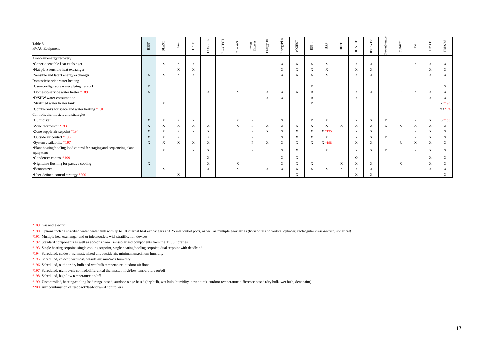| Table 8<br><b>HVAC</b> Equipment                                                  | <b>BEST</b>  | AST<br>$\vec{E}$          | $B\mathrm{Sim}$           | $_{\rm DeST}$ | DOE-2.1E                  | ECOTECT | Ener-Win | ${\rm Energy} \atop {\rm Express}$ | Energy-10   | EnergyPlus                | eQUEST                    | $_{\rm ESP-r}$ | $HAP$                     | HEED         | <b>DAICE</b>              | <ab><br/><math display="inline">\mathbb{E}\mathbf{S}</math></ab> | erDom    | <b>SUNREL</b>             | $_{\rm Tas}$              | TRACE       | <b>TRNSYS</b> |
|-----------------------------------------------------------------------------------|--------------|---------------------------|---------------------------|---------------|---------------------------|---------|----------|------------------------------------|-------------|---------------------------|---------------------------|----------------|---------------------------|--------------|---------------------------|------------------------------------------------------------------|----------|---------------------------|---------------------------|-------------|---------------|
| Air-to-air energy recovery                                                        |              |                           |                           |               |                           |         |          |                                    |             |                           |                           |                |                           |              |                           |                                                                  |          |                           |                           |             |               |
| ·Generic sensible heat exchanger                                                  |              | X                         | X                         | X             | D                         |         |          | <b>D</b>                           |             | X                         | $\boldsymbol{\mathrm{X}}$ | X              | $\mathbf X$               |              | X                         | $\boldsymbol{\mathrm{X}}$                                        |          |                           | $\boldsymbol{\mathrm{X}}$ | X           | X             |
| · Flat plate sensible heat exchanger                                              |              |                           | X                         | X             |                           |         |          |                                    |             | X                         | $\mathbf{X}$              | X              | X                         |              | X                         | X                                                                |          |                           |                           | X           | X             |
| ·Sensible and latent energy exchanger                                             | $\mathbf{X}$ | $\mathbf X$               | $\mathbf X$               | X             |                           |         |          | P                                  |             | $\mathbf X$               | $\boldsymbol{\mathrm{X}}$ | $\mathbf X$    | $\mathbf X$               |              | X                         | X                                                                |          |                           |                           | X           | $\mathbf{X}$  |
| Domestic/service water heating                                                    |              |                           |                           |               |                           |         |          |                                    |             |                           |                           |                |                           |              |                           |                                                                  |          |                           |                           |             |               |
| · User-configurable water piping network                                          | X            |                           |                           |               |                           |         |          |                                    |             |                           |                           | $\mathbf X$    |                           |              |                           |                                                                  |          |                           |                           |             | $\mathbf{X}$  |
| •Domestic/service water heater *189                                               | X            |                           |                           |               | $\boldsymbol{\mathrm{X}}$ |         | X        |                                    | X           | $\boldsymbol{\mathrm{X}}$ | $\mathbf X$               | R              |                           |              | X                         | $\boldsymbol{\mathrm{X}}$                                        |          | $\mathbb{R}$              | $\mathbf X$               | $\mathbf X$ | X             |
| ·D/SHW water consumption                                                          |              |                           |                           |               |                           |         |          |                                    | X           | $\mathbf X$               |                           | R              |                           |              | X                         |                                                                  |          |                           |                           | X           | X             |
| ·Stratified water heater tank                                                     |              | X                         |                           |               |                           |         |          |                                    |             |                           |                           | R              |                           |              |                           |                                                                  |          |                           |                           |             | $X * 190$     |
| *Combi-tanks for space and water heating *191                                     |              |                           |                           |               |                           |         |          |                                    |             |                           |                           |                |                           |              |                           |                                                                  |          |                           |                           |             | XO *192       |
| Controls, thermostats and strategies                                              |              |                           |                           |               |                           |         |          |                                    |             |                           |                           |                |                           |              |                           |                                                                  |          |                           |                           |             |               |
| ·Humidistat                                                                       | X            | $\mathbf X$               | $\mathbf X$               | $\mathbf X$   |                           |         |          | <b>D</b>                           |             | $\mathbf X$               |                           | $\mathbb{R}$   | $\mathbf X$               |              | X                         | $\mathbf X$                                                      | D        |                           | $\mathbf X$               | $\mathbf X$ | $O*158$       |
| ·Zone thermostat *193                                                             | X            | X                         | $\boldsymbol{\mathrm{X}}$ | X             | $\boldsymbol{\mathrm{X}}$ |         | X        | D                                  | X           | $\mathbf X$               | $\boldsymbol{\mathrm{X}}$ | $\mathbf X$    | $\boldsymbol{\mathrm{X}}$ | $\mathbf X$  | $\boldsymbol{\mathrm{X}}$ | X                                                                | X        | $\boldsymbol{\mathrm{X}}$ | $\boldsymbol{\mathrm{X}}$ | X           | X             |
| *Zone supply air setpoint *194                                                    | $\mathbf{X}$ | X                         | $\mathbf X$               | X             | $\mathbf{X}$              |         |          | D                                  | X           | $\mathbf X$               | X                         | X              | $X * 195$                 |              | X                         | $\boldsymbol{\mathrm{X}}$                                        |          |                           | X                         | X           | X             |
| Outside air control *196                                                          | $\mathbf{X}$ | $\boldsymbol{\mathrm{X}}$ | $\boldsymbol{\mathrm{X}}$ |               |                           |         |          | D                                  |             | $\boldsymbol{\mathrm{X}}$ | $\boldsymbol{\mathrm{X}}$ | X              | X                         |              | X                         | $\mathbf X$                                                      | <b>D</b> |                           | X                         | X           | X             |
| · System availability *197                                                        | X            | X                         | X                         | X             | $\mathbf{X}$              |         |          | D                                  | $\mathbf X$ | $\mathbf X$               | $\mathbf{X}$              | X              | $X * 198$                 |              | $\boldsymbol{\mathrm{X}}$ | $\boldsymbol{\mathrm{X}}$                                        |          | $\mathbb{R}$              | X                         | X           | X             |
| ·Plant heating/cooling load control for staging and sequencing plant<br>equipment |              | $\mathbf X$               |                           | X             | $\mathbf X$               |         |          | P                                  |             | $\mathbf X$               | $\mathbf{X}$              |                | $\mathbf X$               |              | X                         | $\boldsymbol{\mathrm{X}}$                                        | P        |                           | $\mathbf X$               | X           | $\mathbf X$   |
| •Condenser control *199                                                           |              |                           |                           |               | X                         |         |          |                                    |             | $\mathbf X$               | $\mathbf{X}$              |                |                           |              | $\Omega$                  |                                                                  |          |                           |                           | X           | $\mathbf X$   |
| ·Nighttime flushing for passive cooling                                           | X            |                           |                           |               | X                         |         | X        |                                    |             | X                         | $\mathbf X$               | $\mathbf X$    |                           | $\mathbf{X}$ | X                         | $\mathbf X$                                                      |          | $\mathbf X$               |                           | X           | X             |
| · Economizer                                                                      |              | X                         |                           |               | X                         |         | X        | P                                  | $\mathbf X$ | $\mathbf X$               | $\boldsymbol{\mathrm{X}}$ | $\mathbf X$    | $\mathbf X$               | X            | X                         | X                                                                |          |                           |                           | X           | X             |
| · User-defined control strategy *200                                              |              |                           | X                         |               |                           |         |          |                                    |             |                           | X                         |                |                           |              | X                         | X                                                                |          |                           |                           |             | X             |

\*189 Gas and electric

\*190 Options include stratified water heater tank with up to 10 internal heat exchangers and 25 inlet/outlet ports, as well as multiple geometries (horizontal and vertical cylinder, rectangular cross-section, spherical)

\*191 Multiple heat exchanger and or inlets/outlets with stratification devices

\*192 Standard components as well as add-ons from Transsolar and components from the TESS libraries

\*193 Single heating setpoint, single cooling setpoint, single heating/cooling setpoint, dual setpoint with deadband

\*194 Scheduled, coldest, warmest, mixed air, outside air, minimum/maximum humidity

\*195 Scheduled, coldest, warmest, outside air, min/max humidity

\*196 Scheduled, outdoor dry bulb and wet bulb temperature, outdoor air flow

\*197 Scheduled, night cycle control, differential thermostat, high/low temperature on/off

\*198 Scheduled, high/low temperature on/off

\*199 Uncontrolled, heating/cooling load range-based, outdoor range based (dry bulb, wet bulb, humidity, dew point), outdoor temperature difference based (dry bulb, wet bulb, dew point)

\*200 Any combination of feedback/feed-forward controllers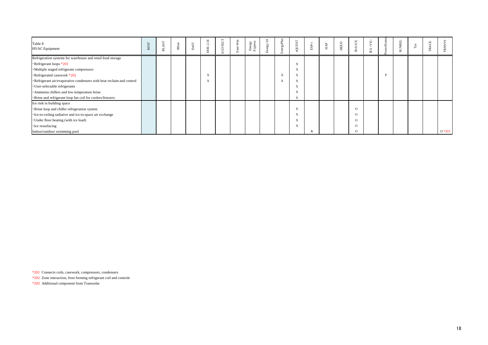| Table 8<br><b>HVAC</b> Equipment                                      | <b>BEST</b> | ল<br>声 | <b>B</b> Sim | DesT | 핔<br>$\sim$<br>Ë<br>$\bigcap$ | ECOTECT | -Win<br>å | Energy<br>Express | $-10$<br>$x_3$ | rgyPlu<br><b>FTT</b>      | QUEST                   | ESP- | $_{\rm HAP}$ | HEED | ICE<br>$\mathsf{D}$ | <ab><br/><math display="inline">\mathbb{E}\mathbf{S}</math></ab> | UNREL<br>$\sim$ | ⊨ | ACE<br>$\sim$ |         |
|-----------------------------------------------------------------------|-------------|--------|--------------|------|-------------------------------|---------|-----------|-------------------|----------------|---------------------------|-------------------------|------|--------------|------|---------------------|------------------------------------------------------------------|-----------------|---|---------------|---------|
| Refrigeration systems for warehouse and retail food storage           |             |        |              |      |                               |         |           |                   |                |                           |                         |      |              |      |                     |                                                                  |                 |   |               |         |
| ·Refrigerant loops *201                                               |             |        |              |      |                               |         |           |                   |                |                           | X                       |      |              |      |                     |                                                                  |                 |   |               |         |
| ·Multiple staged refrigerant compressors                              |             |        |              |      |                               |         |           |                   |                |                           |                         |      |              |      |                     |                                                                  |                 |   |               |         |
| ·Refrigerated casework *202                                           |             |        |              |      | $\Lambda$                     |         |           |                   |                | $\mathbf{v}$<br>$\Lambda$ | $\Lambda$               |      |              |      |                     |                                                                  |                 |   |               |         |
| ·Refrigerant air/evaporative condensers with heat reclaim and control |             |        |              |      | X                             |         |           |                   |                | $\Lambda$                 | X                       |      |              |      |                     |                                                                  |                 |   |               |         |
| · User-selectable refrigerants                                        |             |        |              |      |                               |         |           |                   |                |                           |                         |      |              |      |                     |                                                                  |                 |   |               |         |
| · Ammonia chillers and low temperature brine                          |             |        |              |      |                               |         |           |                   |                |                           |                         |      |              |      |                     |                                                                  |                 |   |               |         |
| ·Brine and refrigerant loop fan coil for coolers/freezers             |             |        |              |      |                               |         |           |                   |                |                           | X                       |      |              |      |                     |                                                                  |                 |   |               |         |
| Ice rink in building space                                            |             |        |              |      |                               |         |           |                   |                |                           |                         |      |              |      |                     |                                                                  |                 |   |               |         |
| · Brine loop and chiller refrigeration system                         |             |        |              |      |                               |         |           |                   |                |                           | $\overline{\mathbf{v}}$ |      |              |      | $\Omega$            |                                                                  |                 |   |               |         |
| ·Ice-to-ceiling radiative and ice-to-space air exchange               |             |        |              |      |                               |         |           |                   |                |                           |                         |      |              |      | $\Omega$            |                                                                  |                 |   |               |         |
| · Under floor heating (with ice load)                                 |             |        |              |      |                               |         |           |                   |                |                           | $\Lambda$               |      |              |      | $\Omega$            |                                                                  |                 |   |               |         |
| • Ice resurfacing                                                     |             |        |              |      |                               |         |           |                   |                |                           |                         |      |              |      | $\Omega$            |                                                                  |                 |   |               |         |
| Indoor/outdoor swimming pool                                          |             |        |              |      |                               |         |           |                   |                |                           |                         |      |              |      | $\Omega$            |                                                                  |                 |   |               | $O*203$ |

\*201 Connects coils, casework, compressors, condensers

\*202 Zone interaction, frost forming refrigerant coil and controls

\*203 Additional component from Transsolar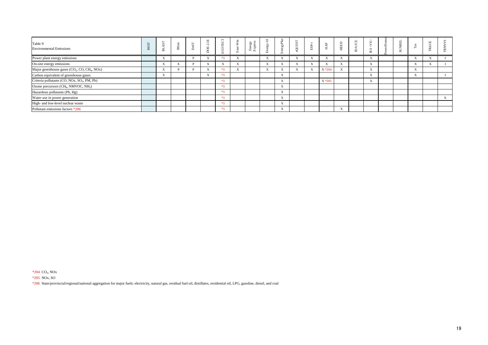| Table 9<br><b>Environmental Emissions</b>                                         | 声                         | 5ĭ<br>$\overline{a}$ | ČΩ | ⋍               | 凹<br>Œ.        | Win                      | rgy<br>ress<br>Enei<br>Exp | Šδ. | ∸<br>$\geq$               |           | 5         | ę<br>보    | ш<br>₩       | $\Box$<br>≘ | Е                         | ∼ |                           | $\Box$ | ∽                         |
|-----------------------------------------------------------------------------------|---------------------------|----------------------|----|-----------------|----------------|--------------------------|----------------------------|-----|---------------------------|-----------|-----------|-----------|--------------|-------------|---------------------------|---|---------------------------|--------|---------------------------|
| Power plant energy emissions                                                      | $\Delta$                  |                      |    | $\Lambda$       |                |                          |                            |     | $\Lambda$                 |           |           | $\Lambda$ |              |             | $\Lambda$                 |   | $\Lambda$                 |        |                           |
| On-site energy emissions                                                          | $\Lambda$                 | $\Lambda$            |    | $\Lambda$       | $\Lambda$      | <b>1979</b><br>$\Lambda$ |                            |     | $\Lambda$                 | $\Lambda$ | $\Lambda$ | A         |              |             | $\boldsymbol{\mathrm{X}}$ |   | $-$<br>$\Lambda$          |        |                           |
| Major greenhouse gases (CO <sub>2</sub> , CO, CH <sub>4</sub> , NO <sub>x</sub> ) |                           |                      |    | $\Lambda$       | $\overline{a}$ | <b>1979</b>              |                            |     | $\lambda$                 |           |           | $X * 204$ |              |             | $\mathbf{X}$              |   | $\mathbf{v}$<br>$\Lambda$ |        |                           |
| Carbon equivalent of greenhouse gases                                             | $\mathbf{v}$<br>$\Lambda$ |                      |    | xx<br>$\Lambda$ | $*2$           |                          |                            |     | $\mathbf{v}$<br>$\Lambda$ |           |           |           |              |             | $\mathbf{X}$              |   | $\mathbf{v}$<br>$\Lambda$ |        |                           |
| Criteria pollutants (CO, NOx, SO <sub>2</sub> , PM, Pb)                           |                           |                      |    |                 | $*3$           |                          |                            |     | $\mathbf{v}$<br>$\Delta$  |           |           | $X * 205$ |              |             | $\mathbf{v}$<br>$\Lambda$ |   |                           |        |                           |
| Ozone precursors (CH <sub>4</sub> , NMVOC, NH <sub>3</sub> )                      |                           |                      |    |                 | $*3$           |                          |                            |     | $\mathbf{v}$<br>$\Lambda$ |           |           |           |              |             |                           |   |                           |        |                           |
| Hazardous pollutants (Pb, Hg)                                                     |                           |                      |    |                 | $*2$           |                          |                            |     | $\mathbf{v}$<br>$\Lambda$ |           |           |           |              |             |                           |   |                           |        |                           |
| Water use in power generation                                                     |                           |                      |    |                 | $*3$           |                          |                            |     | $\mathbf{v}$<br>$\Lambda$ |           |           |           |              |             |                           |   |                           |        | $\mathbf{v}$<br>$\lambda$ |
| High- and low-level nuclear waste                                                 |                           |                      |    |                 | $*2$           |                          |                            |     | $\mathbf{v}$<br>$\Delta$  |           |           |           |              |             |                           |   |                           |        |                           |
| Pollutant emissions factors *206                                                  |                           |                      |    |                 | $*2$           |                          |                            |     | $\mathbf{v}$<br>$\Lambda$ |           |           |           | $\mathbf{v}$ |             |                           |   |                           |        |                           |

 $*204$  CO<sub>2</sub>, NO<sub>x</sub>

\*205 NOx, SO

\*206 State/provincial/regional/national aggregation for major fuels: electricity, natural gas, residual fuel oil, distillates, residential oil, LPG, gasoline, diesel, and coal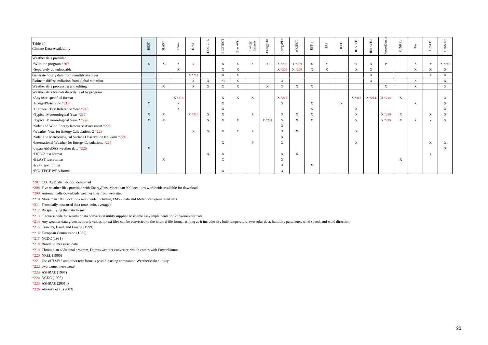| Table 10<br>Climate Data Availability                       | <b>BEST</b>  | AST<br>E                  | $B\operatorname{Sim}$     | $_{\rm{DeST}}$ | $DOE-2.1E$                | ECOTECT                   | Ener-Win     | Energy<br>Express | Energy-10    | EnergyPlus                | eQUEST                    | $_{\rm{ESP-}r}$           | $_{\rm HAP}$ | HEED                      | <b>DAICE</b>              | <ab><br/><math display="inline">\mathbb{E}\mathbf{S}</math></ab> | erDomu    | <b>SUNREL</b>             | $_{\rm Tas}$ | TRACE                     | <b>TRNSYS</b> |
|-------------------------------------------------------------|--------------|---------------------------|---------------------------|----------------|---------------------------|---------------------------|--------------|-------------------|--------------|---------------------------|---------------------------|---------------------------|--------------|---------------------------|---------------------------|------------------------------------------------------------------|-----------|---------------------------|--------------|---------------------------|---------------|
| Weather data provided                                       |              |                           |                           |                |                           |                           |              |                   |              |                           |                           |                           |              |                           |                           |                                                                  |           |                           |              |                           |               |
| With the program $*207$                                     | $\mathbf{X}$ | $\boldsymbol{\mathrm{X}}$ | X                         | X              |                           | $\mathbf X$               | X            | X                 | X            | X *208                    | X *209                    | $\mathbf X$               | $\mathbf{X}$ |                           | X                         | $\mathbf X$                                                      | D         |                           | $\mathbf X$  | $\mathbf X$               | $X * 210$     |
| · Separately downloadable                                   |              |                           | $\mathbf{X}$              |                |                           | $\mathbf X$               | X            |                   |              | $X * 208$                 | X *209                    | X                         | $\mathbf X$  |                           | X                         | $\boldsymbol{\mathrm{X}}$                                        |           |                           | $\mathbf X$  | $\mathbf X$               | $\mathbf{X}$  |
| Generate hourly data from monthly averages                  |              |                           |                           | $X * 211$      |                           | $\mathbf{X}$              | $\mathbf X$  |                   |              |                           |                           |                           |              |                           |                           | $\mathbf{X}$                                                     |           |                           |              | $\mathbf X$               | X             |
| Estimate diffuse radiation from global radiation            |              |                           |                           | $\mathbf{X}$   | $\mathbf X$               | $*3$                      | $\mathbf X$  |                   |              | $\mathbf X$               |                           |                           |              |                           |                           | $\mathbf X$                                                      |           |                           | $\mathbf X$  |                           | $\mathbf X$   |
| Weather data processing and editing                         |              | $\mathbf X$               |                           | X              | $\mathbf X$               | X                         | $\mathbf X$  |                   | $\mathbf{X}$ | $\mathbf X$               | $\mathbf{X}$              | $\mathbf X$               |              |                           |                           |                                                                  | X         |                           | X            |                           | X             |
| Weather data formats directly read by program               |              |                           |                           |                |                           |                           |              |                   |              |                           |                           |                           |              |                           |                           |                                                                  |           |                           |              |                           |               |
| Any user-specified format                                   |              |                           | $X * 214$                 |                |                           | $\boldsymbol{\mathrm{X}}$ | $\mathbf{X}$ | $\mathbf X$       |              | $X * 212$                 |                           |                           |              |                           |                           | X *213 X *214                                                    | $X * 214$ | $\mathbf{X}$              |              |                           | X             |
| ·EnergyPlus/ESP-r *215                                      | X            |                           | $\mathbf{X}$              |                |                           | X                         |              |                   |              | $\mathbf{X}$              |                           | $\boldsymbol{\mathrm{X}}$ |              | $\boldsymbol{\mathrm{X}}$ |                           |                                                                  |           |                           | $\mathbf X$  |                           | X             |
| <b>European Test Reference Year *216</b>                    |              |                           | $\boldsymbol{\mathrm{X}}$ |                |                           | X                         |              |                   |              |                           |                           | X                         |              |                           | $\boldsymbol{\mathrm{X}}$ |                                                                  |           |                           |              |                           | X             |
| Typical Meteorological Year *217                            | X            | $\mathbf{X}$              |                           | $X * 218$      | $\boldsymbol{\mathrm{X}}$ | $\mathbf{X}$              |              | <b>D</b>          |              | $\mathbf{X}$              | $\boldsymbol{\mathrm{X}}$ | X                         |              |                           | X                         |                                                                  | $X * 219$ | $\mathbf{X}$              |              | $\boldsymbol{\mathrm{X}}$ | X             |
| Typical Meteorological Year 2 *220                          | $\mathbf{X}$ | $\boldsymbol{\mathrm{X}}$ |                           |                | X                         | X                         | $\mathbf{X}$ |                   | $X * 221$    | $\boldsymbol{\mathrm{X}}$ | $\boldsymbol{\mathrm{X}}$ | X                         |              |                           | X                         |                                                                  | $X * 219$ | $\boldsymbol{\mathrm{X}}$ | $\mathbf X$  | $\mathbf X$               | X             |
| Solar and Wind Energy Resource Assessment *222              |              |                           |                           |                |                           |                           |              |                   |              | $\mathbf X$               |                           |                           |              |                           |                           |                                                                  |           |                           |              |                           |               |
| Weather Year for Energy Calculations 2 *223                 |              |                           |                           | X              | $\boldsymbol{\mathrm{X}}$ | $\mathbf X$               | X            | P                 |              | X                         | $\mathbf{X}$              |                           |              |                           | X                         |                                                                  |           |                           |              |                           |               |
| · Solar and Meteorological Surface Observation Network *224 |              |                           |                           |                |                           |                           |              |                   |              | X                         |                           |                           |              |                           |                           |                                                                  |           |                           |              |                           |               |
| • International Weather for Energy Calculations *225        |              |                           |                           |                |                           | $\mathbf X$               |              | P                 |              | $\mathbf X$               |                           |                           |              |                           | X                         |                                                                  |           |                           |              | X                         | X             |
| · Japan AMeDAS weather data *226                            | X            |                           |                           |                |                           |                           |              |                   |              |                           |                           |                           |              |                           |                           |                                                                  |           |                           |              |                           | X             |
| DOE-2 text format                                           |              |                           |                           |                | X                         | $\boldsymbol{\mathrm{X}}$ |              |                   |              | X                         | X                         |                           |              |                           |                           |                                                                  |           |                           |              | X                         |               |
| <b>·BLAST</b> text format                                   |              | $\mathbf{X}$              |                           |                |                           | $\mathbf X$               |              |                   |              | $\mathbf X$               |                           |                           |              |                           |                           |                                                                  |           | $\boldsymbol{\mathrm{X}}$ |              |                           |               |
| <b>ESP-r</b> text format                                    |              |                           |                           |                |                           |                           |              |                   |              | $\mathbf X$               |                           | X                         |              |                           |                           |                                                                  |           |                           |              |                           |               |
| <b>· ECOTECT WEA format</b>                                 |              |                           |                           |                |                           | X                         |              |                   |              | $\mathbf X$               |                           |                           |              |                           |                           |                                                                  |           |                           |              |                           |               |

\*207 CD, DVD, distribution download

\*208 Five weather files provided with EnergyPlus. More than 900 locations worldwide available for download

\*209 Automatically downloads weather files from web site.

\*210 More than 1000 locations worldwide including TMY2 data and Meteonorm-generated data

\*211 From daily measured data (max, min, average)

\*212 By specifying the data format

\*213 C source code for weather data conversion utility supplied to enable easy implementation of various formats.

\*214 Any weather data given as hourly values in text files can be converted to the internal file format as long as it includes dry bulb temperature, two solar data, humidity parameter, wind speed, and wind direction.

\*215 Crawley, Hand, and Lawrie (1999)

- $*216$  European Commission (1985)
- $*217$  NCDC (1981)
- \*218 Based on measured data
- \*219 Through an additional program, Domus weather converter, which comes with PowerDomus
- \*220 NREL (1995)
- \*221 Use of TMY2 and other text formats possible using companion WeatherMaker utility.
- \*222 swera.unep.net/swera/
- \*223 ASHRAE (1997)
- \*224 NCDC (1993)
- \*225 ASHRAE (2001b)
- \*226 Akasaka et al. (2003)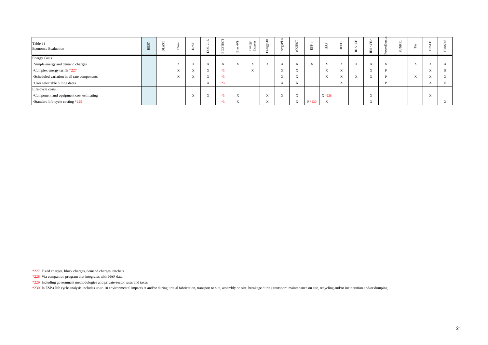| Table 11<br><b>Economic Evaluation</b>      | ☎ | 声 | BSim                      | ທີ<br>$\sim$ | $\Box$<br>$-$<br>$\sim$   | rvn.<br>ш                 | $\ddot{\tilde{\mathbf{z}}}$ | es<br>Va<br>- EES               | $\overline{a}$<br>∽<br>$\Box$ | 르<br>$\sim$<br>⋋<br><b>b</b><br>$[1]$ | řл.<br>JUE                | S.<br>$\Box$     | ≖                         | $\Box$<br>ш<br>땊          | ≘         | $\Omega$<br>Е                       |                           | $\sim$<br>∼<br>$\overline{}$ |                           | $\boxed{\mathbf{L}}$ |           |
|---------------------------------------------|---|---|---------------------------|--------------|---------------------------|---------------------------|-----------------------------|---------------------------------|-------------------------------|---------------------------------------|---------------------------|------------------|---------------------------|---------------------------|-----------|-------------------------------------|---------------------------|------------------------------|---------------------------|----------------------|-----------|
| <b>Energy Costs</b>                         |   |   |                           |              |                           |                           |                             |                                 |                               |                                       |                           |                  |                           |                           |           |                                     |                           |                              |                           |                      |           |
| ·Simple energy and demand charges           |   |   | $\mathbf{v}$<br>$\Lambda$ | $\Lambda$    | $\mathbf{v}$<br>$\Lambda$ | $\mathbf{v}$<br>$\Lambda$ | xx.<br>$\Lambda$            | $\mathbf{v}$<br>$\Lambda$       | $\Lambda$                     | $\mathbf{v}$<br>$\Lambda$             | $\mathbf{v}$<br>$\Lambda$ | xx.<br>$\Lambda$ | $\mathbf{v}$<br>$\Lambda$ | $\mathbf{x}$<br>$\Lambda$ | $\Lambda$ | $x \in \mathcal{F}$<br>$\Lambda$    | $\mathbf{v}$<br>$\Lambda$ |                              | $\mathbf{v}$<br>$\Lambda$ |                      | $\Lambda$ |
| •Complex energy tariffs *227                |   |   | $\mathbf{v}$<br>$\Lambda$ | $\Lambda$    | $\mathbf{v}$<br>$\Lambda$ | $*3$                      |                             | $x \in \mathbb{R}$<br>$\Lambda$ |                               | $x \rightarrow$<br>$\Lambda$          | $\mathbf{v}$<br>$\Lambda$ |                  | $\mathbf{x}$<br>$\Lambda$ | $\mathbf{v}$<br>$\Lambda$ |           | $\mathbf{v}$<br>$\Lambda$           |                           |                              |                           |                      |           |
| ·Scheduled variation in all rate components |   |   | $x \times$<br>$\Lambda$   | $\Lambda$    | $\Lambda$                 | $*3$                      |                             |                                 |                               | $\mathbf{v}$<br>$\Delta$              | $\mathbf{v}$<br>$\Lambda$ |                  | $\mathbf{v}$<br>$\Lambda$ | $x \times$<br>$\Lambda$   | $\Lambda$ | $x \times$<br>$\Lambda$             |                           |                              | $\Lambda$                 |                      | A         |
| · User selectable billing dates             |   |   |                           |              | $\mathbf{v}$<br>$\Lambda$ | $*3$                      |                             |                                 |                               | $x \rightarrow$<br>$\Lambda$          | $\mathbf{v}$<br>$\Lambda$ |                  |                           | $\mathbf{x}$<br>$\Lambda$ |           |                                     |                           |                              |                           | $\Lambda$            |           |
| Life-cycle costs                            |   |   |                           |              |                           |                           |                             |                                 |                               |                                       |                           |                  |                           |                           |           |                                     |                           |                              |                           |                      |           |
| •Component and equipment cost estimating    |   |   |                           | $\Lambda$    | $\Lambda$                 | $*3$                      | $\mathbf{x}$                |                                 | $\Lambda$                     | $\Lambda$                             | $\mathbf{v}$<br>$\Lambda$ |                  | $X * 228$                 |                           |           | $\overline{\mathbf{v}}$<br>$\Delta$ |                           |                              |                           |                      |           |
| •Standard life-cycle costing *229           |   |   |                           |              |                           | $*3$                      |                             |                                 | $\mathbf{v}$<br>$\Lambda$     |                                       | $\mathbf{v}$<br>$\Lambda$ | $P*230$          | $\mathbf{v}$<br>$\Lambda$ |                           |           | X                                   |                           |                              |                           |                      | $\Lambda$ |

\*227 Fixed charges, block charges, demand charges, ratchets

\*228 Via companion program that integrates with HAP data.

\*229 Including government methodologies and private-sector rates and taxes

\*230 In ESP-r life cycle analysis includes up to 10 environmental impacts at and/or during: initial fabrication, transport to site, assembly on site, breakage during transport, maintenance on site, recycling and/or inciner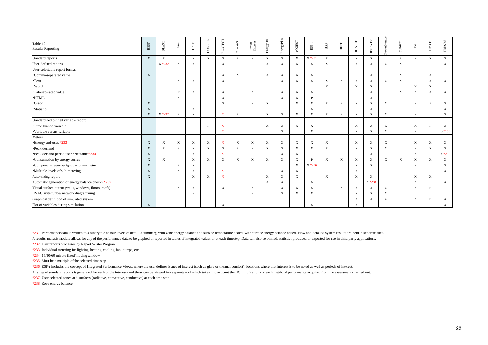| Table 12<br><b>Results Reporting</b>                  | <b>BEST</b>  | <b>BLAST</b> | $\mathbf{B}\mathbf{Sim}$  | $_{\rm DeST}$             | DOE-2.1E                  | ECOTECT          | Ener-Win     | ${\rm Energy} \atop {\rm Express}$ | $Energy-10$               | EnergyPlus                | eQUEST                    | $_{\rm{ESP-r}}$           | ${\rm HAP}$ | <b>HEED</b>  | <b>DAICE</b>              | <ve><br/><math display="inline">\overline{\text{EB}}</math></ve> | werDom      | <b>SUNREL</b>             | $_{\rm{Ts}}$ | <b>TRACE</b>              | <b>TRNSYS</b> |
|-------------------------------------------------------|--------------|--------------|---------------------------|---------------------------|---------------------------|------------------|--------------|------------------------------------|---------------------------|---------------------------|---------------------------|---------------------------|-------------|--------------|---------------------------|------------------------------------------------------------------|-------------|---------------------------|--------------|---------------------------|---------------|
| Standard reports                                      | $\mathbf{X}$ | $\mathbf X$  |                           | $\mathbf X$               | $\mathbf X$               | $\mathbf{X}$     | $\mathbf{X}$ | $\mathbf X$                        | $\mathbf X$               | $\mathbf{X}$              | $\mathbf X$               | $X * 231$                 | $\mathbf X$ |              | $\boldsymbol{\mathrm{X}}$ | $\mathbf{X}$                                                     |             | $\mathbf{X}$              | $\mathbf{X}$ | $\mathbf X$               | $\mathbf{X}$  |
| User-defined reports                                  |              | X *232       | $\mathbf{X}$              | $\mathbf{X}$              |                           | $\mathbf{X}$     |              |                                    | $\mathbf X$               | $\mathbf{X}$              | $\mathbf X$               | $\mathbf X$               | $\mathbf X$ |              | $\mathbf X$               | $\mathbf X$                                                      | $\mathbf X$ | $\mathbf{X}$              |              | P                         | $\mathbf{X}$  |
| User-selectable report format                         |              |              |                           |                           |                           |                  |              |                                    |                           |                           |                           |                           |             |              |                           |                                                                  |             |                           |              |                           |               |
| ·Comma-separated value                                | $\mathbf{X}$ |              |                           |                           |                           | $\boldsymbol{X}$ | $\mathbf{X}$ |                                    | $\boldsymbol{\mathrm{X}}$ | $\mathbf X$               | $\mathbf X$               | $\bold{X}$                |             |              |                           | $\mathbf{X}$                                                     |             | $\mathbf{X}$              |              | $\boldsymbol{\mathrm{X}}$ |               |
| • Text                                                |              |              | $\boldsymbol{\mathrm{X}}$ | X                         |                           | $\mathbf X$      |              |                                    |                           | $\mathbf X$               | $\mathbf X$               | $\mathbf X$               | $\mathbf X$ | $\mathbf{X}$ | $\boldsymbol{\mathrm{X}}$ | X                                                                | X           | $\boldsymbol{\mathrm{X}}$ |              | X                         | X             |
| · Word                                                |              |              |                           |                           |                           |                  |              |                                    |                           |                           |                           |                           | $\mathbf X$ |              | X                         | $\mathbf X$                                                      |             |                           | X            | $\boldsymbol{\mathrm{X}}$ |               |
| · Tab-separated value                                 |              |              | P                         | X                         |                           | X                |              | X                                  |                           | $\mathbf X$               | $\mathbf X$               | $\boldsymbol{\mathrm{X}}$ |             |              |                           | $\mathbf X$                                                      |             | $\mathbf{X}$              | $\mathbf X$  | X                         | $\mathbf{X}$  |
| $\cdot$ HTML                                          |              |              | X                         |                           |                           | X                |              |                                    |                           | $\mathbf{X}$              | $\boldsymbol{\mathrm{X}}$ | P                         |             |              |                           | X                                                                |             |                           |              |                           |               |
| ·Graph                                                | $\mathbf{X}$ |              |                           |                           |                           | $\mathbf{X}$     |              | $\mathbf X$                        | X                         |                           | X                         | X                         | $\mathbf X$ | $\mathbf X$  | X                         | $\mathbf X$                                                      | X           |                           | X            |                           | X             |
| <b>Statistics</b>                                     | $\mathbf{X}$ |              |                           | X                         |                           |                  |              |                                    |                           |                           |                           | $\mathbf X$               |             |              |                           | $\mathbf{X}$                                                     |             |                           |              |                           | X             |
|                                                       | $\mathbf{X}$ | X *232       | $\mathbf X$               | X                         |                           | $*3$             | $\mathbf X$  |                                    | $\mathbf{X}$              | $\mathbf{X}$              | $\mathbf X$               | $\mathbf{X}$              | $\mathbf X$ | $\mathbf X$  | $\boldsymbol{\mathrm{X}}$ | $\mathbf X$                                                      | $\mathbf X$ |                           | $\mathbf{X}$ |                           | $\mathbf X$   |
| Standardized binned variable report                   |              |              |                           |                           |                           |                  |              |                                    |                           |                           |                           |                           |             |              |                           |                                                                  |             |                           |              |                           |               |
| ·Time-binned variable                                 |              |              |                           |                           | D                         | $*3$             |              |                                    | $\boldsymbol{\mathrm{X}}$ | $\mathbf{X}$              | $\boldsymbol{\mathrm{X}}$ | $\mathbf{X}$              |             |              | X                         | X                                                                | X           |                           | $\mathbf X$  | P                         | $\mathbf{X}$  |
| · Variable versus variable                            |              |              |                           |                           |                           | $*3$             |              |                                    |                           | $\mathbf X$               |                           | $\mathbf X$               |             |              | $\mathbf X$               | X                                                                | X           |                           | $\mathbf{X}$ |                           | $O*158$       |
| Meters                                                |              |              |                           |                           |                           |                  |              |                                    |                           |                           |                           |                           |             |              |                           |                                                                  |             |                           |              |                           |               |
| *Energy end-uses *233                                 | $\mathbf{X}$ | X            | $\mathbf X$               | X                         | $\boldsymbol{\mathrm{X}}$ | $*3$             | $\mathbf{X}$ | $\mathbf X$                        | $\boldsymbol{\mathrm{X}}$ | $\boldsymbol{\mathrm{X}}$ | $\mathbf X$               | $\mathbf X$               | $\mathbf X$ |              | $\boldsymbol{\mathrm{X}}$ | $\mathbf X$                                                      | X           |                           | $\mathbf X$  | $\mathbf X$               | $\mathbf{X}$  |
| ·Peak demand                                          | X            | X            | $\mathbf{X}$              | X                         | $\boldsymbol{\mathrm{X}}$ | $\mathbf X$      | $\mathbf{X}$ | $\mathbf X$                        | $\mathbf X$               | $\boldsymbol{\mathrm{X}}$ | $\mathbf X$               | $\mathbf X$               | $\mathbf X$ |              | X                         | $\mathbf X$                                                      | X           |                           | $\mathbf X$  | $\mathbf X$               | $\mathbf{X}$  |
| ·Peak demand period user-selectable *234              | X            |              |                           | X                         |                           | $*3$             |              |                                    |                           | $\boldsymbol{\mathrm{X}}$ | $\mathbf X$               |                           |             |              |                           | X                                                                |             |                           | $\mathbf X$  |                           | $X * 235$     |
| <b>Consumption by energy source</b>                   | X            | X            |                           | $\boldsymbol{\mathrm{X}}$ | $\mathbf{X}$              | $\mathbf X$      | $\mathbf{X}$ | $\mathbf X$                        | $\boldsymbol{\mathrm{X}}$ | $\mathbf X$               | $\mathbf X$               | P                         | $\mathbf X$ | $\mathbf{X}$ | X                         | $\mathbf X$                                                      | X           | $\boldsymbol{\mathrm{X}}$ | $\mathbf X$  | $\mathbf{X}$              | X             |
| •Components user-assignable to any meter              | X            |              | $\mathbf X$               | $\boldsymbol{\mathrm{X}}$ |                           |                  |              |                                    |                           |                           | $\mathbf X$               | $X * 236$                 |             |              | X                         | $\mathbf X$                                                      |             |                           | $\mathbf X$  |                           | X             |
| ·Multiple levels of sub-metering                      | X            |              | $\mathbf{X}$              | X                         |                           | $*3$             |              |                                    |                           | $\mathbf X$               | $\mathbf X$               |                           |             |              | $\boldsymbol{\mathrm{X}}$ |                                                                  |             |                           |              |                           | $\mathbf{X}$  |
| Auto-sizing report                                    | X            |              |                           | $\mathbf X$               | $\mathbf X$               | $*3$             |              |                                    | $\mathbf{X}$              | $\mathbf{X}$              | $\mathbf X$               |                           | X           |              | $\mathbf{X}$              | $\mathbf{X}$                                                     |             |                           | $\mathbf X$  | $\mathbf{X}$              |               |
| Automatic generation of energy balance checks *237    |              |              |                           |                           |                           |                  |              |                                    | $\mathbf{X}$              | $\mathbf{X}$              |                           | $\mathbf{X}$              |             |              |                           | $X * 238$                                                        |             |                           | $\mathbf X$  |                           | X             |
| Visual surface output (walls, windows, floors, roofs) |              |              | $\mathbf{X}$              | $\mathbf X$               |                           | $\mathbf{X}$     |              | $\mathbf X$                        |                           | $\mathbf{X}$              | $\mathbf X$               | $\boldsymbol{\mathrm{X}}$ |             | $\mathbf X$  | $\boldsymbol{\mathrm{X}}$ | $\mathbf X$                                                      | $\mathbf X$ |                           | $\mathbf X$  | E                         |               |
| HVAC system/flow network diagramming                  |              |              |                           | P                         |                           |                  |              | P                                  |                           | $\mathbf{X}$              | $\mathbf X$               | $\mathbf X$               |             |              | $\mathbf X$               | $\mathbf{X}$                                                     | X           |                           |              |                           |               |
| Graphical definition of simulated system              |              |              |                           |                           |                           |                  |              | P                                  |                           |                           |                           |                           |             |              | $\mathbf X$               | $\mathbf{X}$                                                     | $\mathbf X$ |                           | $\mathbf X$  | E                         | X             |
| Plot of variables during simulation                   | X            |              |                           |                           |                           | $\mathbf{X}$     |              |                                    |                           |                           |                           | $\mathbf X$               |             |              | $\mathbf X$               |                                                                  |             |                           |              |                           | $\mathbf X$   |

\*231 Performance data is written to a binary file at four levels of detail: a summary, with zone energy balance and surface temperature added, with surface energy balance added. Flow and detailed system results are held in

A results analysis module allows for any of the performance data to be graphed or reported in tables of integrated values or at each timestep. Data can also be binned, statistics produced or exported for use in third party

\*232 User reports processed by Report Writer Program

\*233 Individual metering for lighting, heating, cooling, fan, pumps, etc.

\*234 15/30/60 minute fixed/moving window

\*235 Must be a multiple of the selected time step

\*236 ESP-r includes the concept of Integrated Performance Views, where the user defines issues of interest (such as glare or thermal comfort), locations where that interest is to be noted as well as periods of interest.

A range of standard reports is generated for each of the interests and these can be viewed in a separate tool which takes into account the HCI implications of each metric of performance acquired from the assessments carrie

\*237 User-selected zones and surfaces (radiative, convective, conductive) at each time step

\*238 Zone energy balance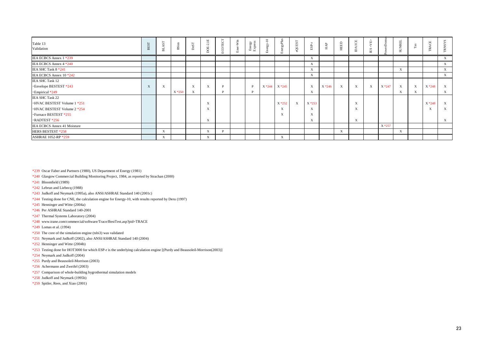| Table 13<br>Validation               | BES <sub>T</sub> | ທ<br>声       | <b>BSim</b> | Des         | $\Xi$<br>$\sim$<br>$\overline{B}$<br>$\sim$ | $\overline{\phantom{0}}$<br>ECOTECT | Win<br>Ener. | Energy<br>Express | $\overline{10}$<br>Energy- | rgyPlus<br>Ene      | QUEST<br>$\bullet$ | ESP.      | HAP       | HEED         | ĨО<br>$\prec$<br>$\Box$   | 山<br>$\mathcal{S}$<br>$\mathbb{E}\mathbf{S}$ |           | 뭅<br>ğ<br>$\overline{\mathbf{S}}$ | $_{\rm{Ts}}$ | <b>ACE</b><br>$\sim$<br><u>_</u> | SN. |
|--------------------------------------|------------------|--------------|-------------|-------------|---------------------------------------------|-------------------------------------|--------------|-------------------|----------------------------|---------------------|--------------------|-----------|-----------|--------------|---------------------------|----------------------------------------------|-----------|-----------------------------------|--------------|----------------------------------|-----|
| IEA ECBCS Annex 1 *239               |                  |              |             |             |                                             |                                     |              |                   |                            |                     |                    | X         |           |              |                           |                                              |           |                                   |              |                                  | X   |
| IEA ECBCS Annex 4 *240               |                  |              |             |             |                                             |                                     |              |                   |                            |                     |                    | X         |           |              |                           |                                              |           |                                   |              |                                  | X   |
| IEA SHC Task 8 *241                  |                  |              |             |             |                                             |                                     |              |                   |                            |                     |                    | X         |           |              |                           |                                              |           | $\mathbf X$                       |              |                                  | X   |
| IEA ECBCS Annex 10 *242              |                  |              |             |             |                                             |                                     |              |                   |                            |                     |                    | X         |           |              |                           |                                              |           |                                   |              |                                  | X   |
| <b>IEA SHC Task 12</b>               |                  |              |             |             |                                             |                                     |              |                   |                            |                     |                    |           |           |              |                           |                                              |           |                                   |              |                                  |     |
| ·Envelope BESTEST *243               | X                | $\mathbf X$  |             | $\mathbf X$ | $\boldsymbol{\mathrm{X}}$                   | P                                   |              | P                 |                            | $X * 244$ $X * 245$ |                    | X         | $X * 246$ | $\mathbf{X}$ | X                         | $\mathbf X$                                  | $X * 247$ | $\boldsymbol{\mathrm{X}}$         | $\mathbf X$  | $X * 248$                        | X   |
| · Empirical *249                     |                  |              | $X * 250$   | X           |                                             | P                                   |              | P                 |                            |                     |                    | X         |           |              |                           |                                              |           | $\boldsymbol{\mathrm{X}}$         | $\mathbf{X}$ |                                  | X   |
| <b>IEA SHC Task 22</b>               |                  |              |             |             |                                             |                                     |              |                   |                            |                     |                    |           |           |              |                           |                                              |           |                                   |              |                                  |     |
| $\cdot$ HVAC BESTEST Volume 1 $*251$ |                  |              |             |             | $\mathbf X$                                 |                                     |              |                   |                            | $X * 252$           | $\mathbf{X}$       | $X * 253$ |           |              | $\boldsymbol{\mathrm{X}}$ |                                              |           |                                   |              | X *248                           | X   |
| $\cdot$ HVAC BESTEST Volume 2 $*254$ |                  |              |             |             | X                                           |                                     |              |                   |                            | $\mathbf X$         |                    | X         |           |              | $\boldsymbol{\mathrm{X}}$ |                                              |           |                                   |              | X                                | X   |
| · Furnace BESTEST *255               |                  |              |             |             |                                             |                                     |              |                   |                            | X                   |                    | X         |           |              |                           |                                              |           |                                   |              |                                  |     |
| ·RADTEST *256                        |                  |              |             |             | $\boldsymbol{\mathrm{X}}$                   |                                     |              |                   |                            |                     |                    | X         |           |              | X                         |                                              |           |                                   |              |                                  | X   |
| IEA ECBCS Annex 41 Moisture          |                  |              |             |             |                                             |                                     |              |                   |                            |                     |                    |           |           |              |                           |                                              | $X * 257$ |                                   |              |                                  |     |
| HERS BESTEST *258                    |                  | $\mathbf X$  |             |             | $\mathbf X$                                 | P                                   |              |                   |                            |                     |                    |           |           | $\mathbf X$  |                           |                                              |           | $\mathbf X$                       |              |                                  |     |
| <b>ASHRAE 1052-RP *259</b>           |                  | $\mathbf{X}$ |             |             | $\boldsymbol{\mathrm{X}}$                   |                                     |              |                   |                            | $\mathbf{X}$        |                    |           |           |              |                           |                                              |           |                                   |              |                                  |     |

\*239 Oscar Faber and Partners (1980), US Department of Energy (1981)

\*240 Glasgow Commercial Building Monitoring Project, 1984, as reported by Strachan (2000)

\*241 Bloomfield (1989)

\*242 Lebrun and Liebecq (1988)

\*243 Judkoff and Neymark (1995a), also ANSI/ASHRAE Standard 140 (2001c)

\*244 Testing done for CNE, the calculation engine for Energy-10, with results reported by Deru (1997)

 $*245$  Henninger and Witte (2004a)

\*246 Per ASHRAE Standard 140-2001

\*247 Thermal Systems Laboratory (2004)

\*248 www.trane.com/commercial/software/Trace/BestTest.asp?pid=TRACE

\*249 Lomas et al. (1994)

\*250 The core of the simulation engine (tsbi3) was validated

\*251 Neymark and Judkoff (2002), also ANSI/ASHRAE Standard 140 (2004)

\*252 Henninger and Witte (2004b)

\*253 Testing done for HOT3000 for which ESP-r is the underlying calculation engine [(Purdy and Beausoleil-Morrison(2003)]

\*254 Neymark and Judkoff (2004)

\*255 Purdy and Beausoleil-Morrison (2003)

\*256 Achermann and Zweifel (2003)

\*257 Comparison of whole-building hygrothermal simulation models

\*258 Judkoff and Neymark (1995b)

\*259 Spitler, Rees, and Xiao (2001)